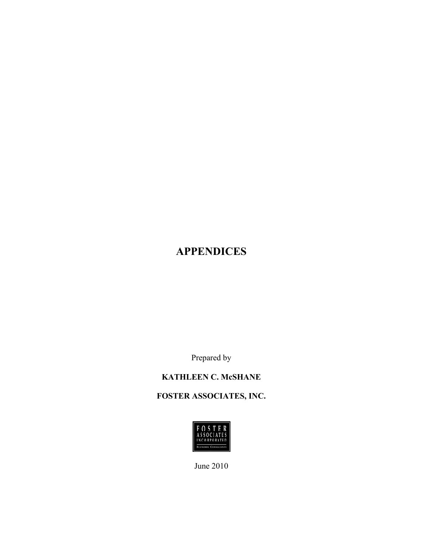# **APPENDICES**

Prepared by

# **KATHLEEN C. McSHANE**

# **FOSTER ASSOCIATES, INC.**



June 2010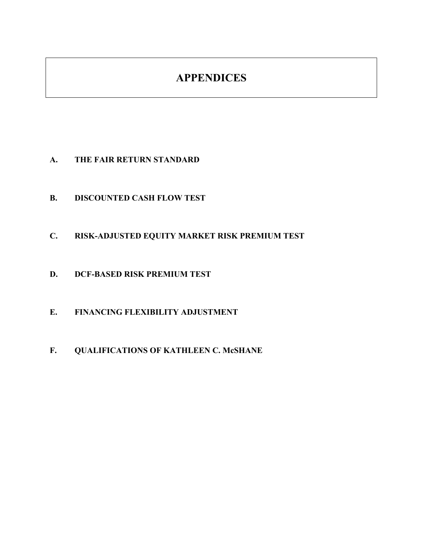# **APPENDICES**

- **A. THE FAIR RETURN STANDARD**
- **B. DISCOUNTED CASH FLOW TEST**
- **C. RISK-ADJUSTED EQUITY MARKET RISK PREMIUM TEST**
- **D. DCF-BASED RISK PREMIUM TEST**
- **E. FINANCING FLEXIBILITY ADJUSTMENT**
- **F. QUALIFICATIONS OF KATHLEEN C. McSHANE**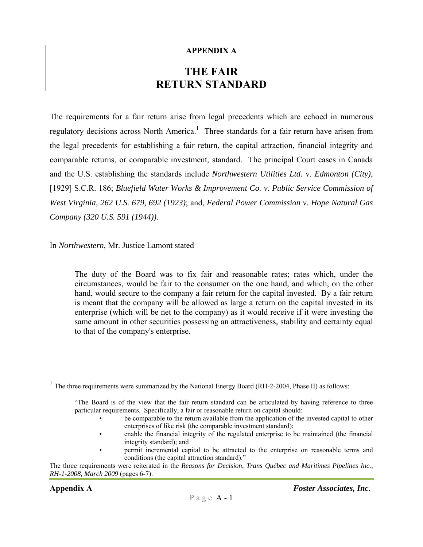#### **APPENDIX A**

# **THE FAIR RETURN STANDARD**

The requirements for a fair return arise from legal precedents which are echoed in numerous regulatory decisions across North America.<sup>1</sup> Three standards for a fair return have arisen from the legal precedents for establishing a fair return, the capital attraction, financial integrity and comparable returns, or comparable investment, standard. The principal Court cases in Canada and the U.S. establishing the standards include *Northwestern Utilities Ltd.* v. *Edmonton (City)*, [1929] S.C.R. 186; *Bluefield Water Works & Improvement Co. v. Public Service Commission of West Virginia, 262 U.S. 679, 692 (1923)*; and, *Federal Power Commission v. Hope Natural Gas Company (320 U.S. 591 (1944))*.

In *Northwestern*, Mr. Justice Lamont stated

The duty of the Board was to fix fair and reasonable rates; rates which, under the circumstances, would be fair to the consumer on the one hand, and which, on the other hand, would secure to the company a fair return for the capital invested. By a fair return is meant that the company will be allowed as large a return on the capital invested in its enterprise (which will be net to the company) as it would receive if it were investing the same amount in other securities possessing an attractiveness, stability and certainty equal to that of the company's enterprise.

<u>.</u>

 $1$  The three requirements were summarized by the National Energy Board (RH-2-2004, Phase II) as follows:

<sup>&</sup>quot;The Board is of the view that the fair return standard can be articulated by having reference to three particular requirements. Specifically, a fair or reasonable return on capital should:

be comparable to the return available from the application of the invested capital to other enterprises of like risk (the comparable investment standard);

<sup>•</sup> enable the financial integrity of the regulated enterprise to be maintained (the financial integrity standard); and

<sup>•</sup> permit incremental capital to be attracted to the enterprise on reasonable terms and conditions (the capital attraction standard)."

The three requirements were reiterated in the *Reasons for Decision*, *Trans Québec and Maritimes Pipelines Inc.*, *RH-1-2008, March 2009* (pages 6-7).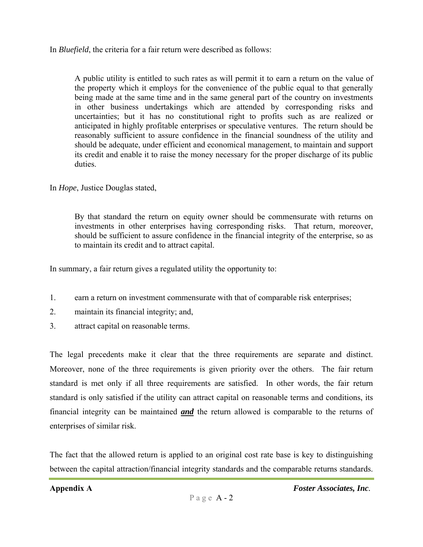In *Bluefield*, the criteria for a fair return were described as follows:

A public utility is entitled to such rates as will permit it to earn a return on the value of the property which it employs for the convenience of the public equal to that generally being made at the same time and in the same general part of the country on investments in other business undertakings which are attended by corresponding risks and uncertainties; but it has no constitutional right to profits such as are realized or anticipated in highly profitable enterprises or speculative ventures. The return should be reasonably sufficient to assure confidence in the financial soundness of the utility and should be adequate, under efficient and economical management, to maintain and support its credit and enable it to raise the money necessary for the proper discharge of its public duties.

In *Hope*, Justice Douglas stated,

By that standard the return on equity owner should be commensurate with returns on investments in other enterprises having corresponding risks. That return, moreover, should be sufficient to assure confidence in the financial integrity of the enterprise, so as to maintain its credit and to attract capital.

In summary, a fair return gives a regulated utility the opportunity to:

- 1. earn a return on investment commensurate with that of comparable risk enterprises;
- 2. maintain its financial integrity; and,
- 3. attract capital on reasonable terms.

The legal precedents make it clear that the three requirements are separate and distinct. Moreover, none of the three requirements is given priority over the others. The fair return standard is met only if all three requirements are satisfied. In other words, the fair return standard is only satisfied if the utility can attract capital on reasonable terms and conditions, its financial integrity can be maintained *and* the return allowed is comparable to the returns of enterprises of similar risk.

The fact that the allowed return is applied to an original cost rate base is key to distinguishing between the capital attraction/financial integrity standards and the comparable returns standards.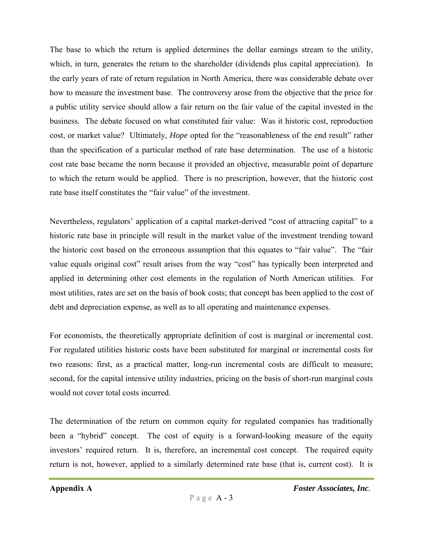The base to which the return is applied determines the dollar earnings stream to the utility, which, in turn, generates the return to the shareholder (dividends plus capital appreciation). In the early years of rate of return regulation in North America, there was considerable debate over how to measure the investment base. The controversy arose from the objective that the price for a public utility service should allow a fair return on the fair value of the capital invested in the business. The debate focused on what constituted fair value: Was it historic cost, reproduction cost, or market value? Ultimately, *Hope* opted for the "reasonableness of the end result" rather than the specification of a particular method of rate base determination. The use of a historic cost rate base became the norm because it provided an objective, measurable point of departure to which the return would be applied. There is no prescription, however, that the historic cost rate base itself constitutes the "fair value" of the investment.

Nevertheless, regulators' application of a capital market-derived "cost of attracting capital" to a historic rate base in principle will result in the market value of the investment trending toward the historic cost based on the erroneous assumption that this equates to "fair value". The "fair value equals original cost" result arises from the way "cost" has typically been interpreted and applied in determining other cost elements in the regulation of North American utilities. For most utilities, rates are set on the basis of book costs; that concept has been applied to the cost of debt and depreciation expense, as well as to all operating and maintenance expenses.

For economists, the theoretically appropriate definition of cost is marginal or incremental cost. For regulated utilities historic costs have been substituted for marginal or incremental costs for two reasons: first, as a practical matter, long-run incremental costs are difficult to measure; second, for the capital intensive utility industries, pricing on the basis of short-run marginal costs would not cover total costs incurred.

The determination of the return on common equity for regulated companies has traditionally been a "hybrid" concept. The cost of equity is a forward-looking measure of the equity investors' required return. It is, therefore, an incremental cost concept. The required equity return is not, however, applied to a similarly determined rate base (that is, current cost). It is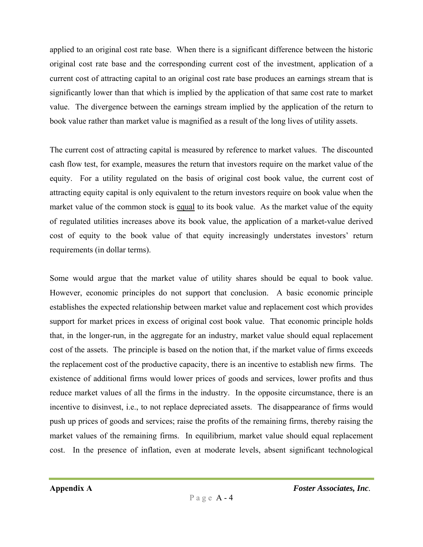applied to an original cost rate base. When there is a significant difference between the historic original cost rate base and the corresponding current cost of the investment, application of a current cost of attracting capital to an original cost rate base produces an earnings stream that is significantly lower than that which is implied by the application of that same cost rate to market value. The divergence between the earnings stream implied by the application of the return to book value rather than market value is magnified as a result of the long lives of utility assets.

The current cost of attracting capital is measured by reference to market values. The discounted cash flow test, for example, measures the return that investors require on the market value of the equity. For a utility regulated on the basis of original cost book value, the current cost of attracting equity capital is only equivalent to the return investors require on book value when the market value of the common stock is equal to its book value. As the market value of the equity of regulated utilities increases above its book value, the application of a market-value derived cost of equity to the book value of that equity increasingly understates investors' return requirements (in dollar terms).

Some would argue that the market value of utility shares should be equal to book value. However, economic principles do not support that conclusion. A basic economic principle establishes the expected relationship between market value and replacement cost which provides support for market prices in excess of original cost book value. That economic principle holds that, in the longer-run, in the aggregate for an industry, market value should equal replacement cost of the assets. The principle is based on the notion that, if the market value of firms exceeds the replacement cost of the productive capacity, there is an incentive to establish new firms. The existence of additional firms would lower prices of goods and services, lower profits and thus reduce market values of all the firms in the industry. In the opposite circumstance, there is an incentive to disinvest, i.e., to not replace depreciated assets. The disappearance of firms would push up prices of goods and services; raise the profits of the remaining firms, thereby raising the market values of the remaining firms. In equilibrium, market value should equal replacement cost. In the presence of inflation, even at moderate levels, absent significant technological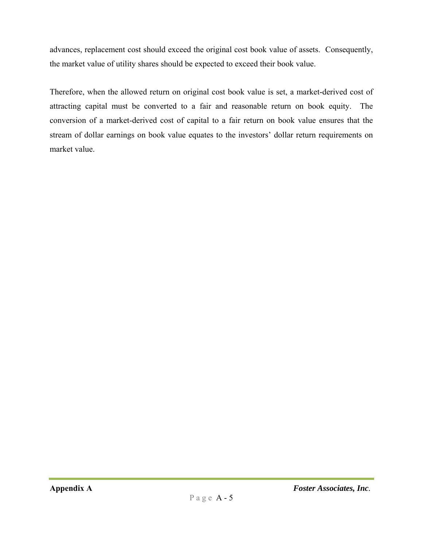advances, replacement cost should exceed the original cost book value of assets. Consequently, the market value of utility shares should be expected to exceed their book value.

Therefore, when the allowed return on original cost book value is set, a market-derived cost of attracting capital must be converted to a fair and reasonable return on book equity. The conversion of a market-derived cost of capital to a fair return on book value ensures that the stream of dollar earnings on book value equates to the investors' dollar return requirements on market value.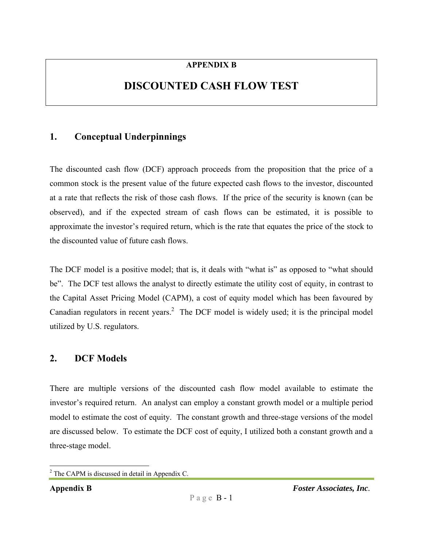#### **APPENDIX B**

# **DISCOUNTED CASH FLOW TEST**

# **1. Conceptual Underpinnings**

The discounted cash flow (DCF) approach proceeds from the proposition that the price of a common stock is the present value of the future expected cash flows to the investor, discounted at a rate that reflects the risk of those cash flows. If the price of the security is known (can be observed), and if the expected stream of cash flows can be estimated, it is possible to approximate the investor's required return, which is the rate that equates the price of the stock to the discounted value of future cash flows.

The DCF model is a positive model; that is, it deals with "what is" as opposed to "what should be". The DCF test allows the analyst to directly estimate the utility cost of equity, in contrast to the Capital Asset Pricing Model (CAPM), a cost of equity model which has been favoured by Canadian regulators in recent years.<sup>2</sup> The DCF model is widely used; it is the principal model utilized by U.S. regulators.

# **2. DCF Models**

There are multiple versions of the discounted cash flow model available to estimate the investor's required return. An analyst can employ a constant growth model or a multiple period model to estimate the cost of equity. The constant growth and three-stage versions of the model are discussed below. To estimate the DCF cost of equity, I utilized both a constant growth and a three-stage model.

 $\overline{a}$  $2^2$  The CAPM is discussed in detail in Appendix C.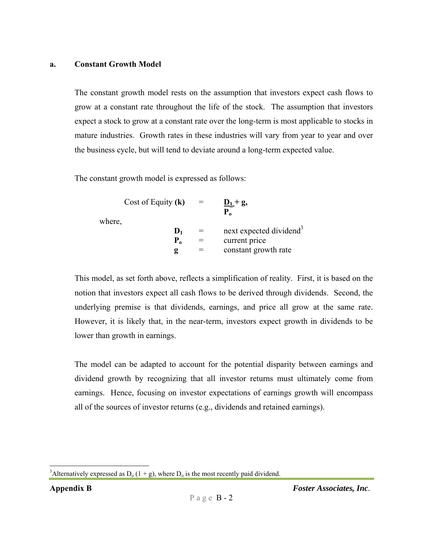#### **a. Constant Growth Model**

The constant growth model rests on the assumption that investors expect cash flows to grow at a constant rate throughout the life of the stock. The assumption that investors expect a stock to grow at a constant rate over the long-term is most applicable to stocks in mature industries. Growth rates in these industries will vary from year to year and over the business cycle, but will tend to deviate around a long-term expected value.

The constant growth model is expressed as follows:

| where, | Cost of Equity $(k)$ | $\underline{D}_1 + g$ ,<br>${\bf P}_0$ |
|--------|----------------------|----------------------------------------|
|        | $\mathbf{D}_1$       | next expected dividend <sup>3</sup>    |
|        | ${\bf P}_0$          | current price                          |
|        | ջ                    | constant growth rate                   |

This model, as set forth above, reflects a simplification of reality. First, it is based on the notion that investors expect all cash flows to be derived through dividends. Second, the underlying premise is that dividends, earnings, and price all grow at the same rate. However, it is likely that, in the near-term, investors expect growth in dividends to be lower than growth in earnings.

The model can be adapted to account for the potential disparity between earnings and dividend growth by recognizing that all investor returns must ultimately come from earnings. Hence, focusing on investor expectations of earnings growth will encompass all of the sources of investor returns (e.g., dividends and retained earnings).

 $\overline{a}$ <sup>3</sup>Alternatively expressed as  $D_0(1 + g)$ , where  $D_0$  is the most recently paid dividend.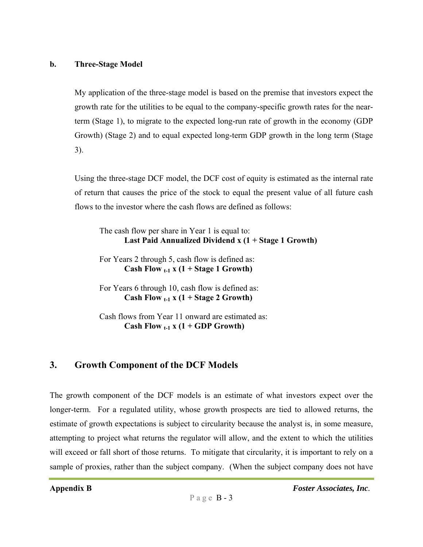#### **b. Three-Stage Model**

My application of the three-stage model is based on the premise that investors expect the growth rate for the utilities to be equal to the company-specific growth rates for the nearterm (Stage 1), to migrate to the expected long-run rate of growth in the economy (GDP Growth) (Stage 2) and to equal expected long-term GDP growth in the long term (Stage 3).

Using the three-stage DCF model, the DCF cost of equity is estimated as the internal rate of return that causes the price of the stock to equal the present value of all future cash flows to the investor where the cash flows are defined as follows:

The cash flow per share in Year 1 is equal to: **Last Paid Annualized Dividend x (1 + Stage 1 Growth)** 

For Years 2 through 5, cash flow is defined as: **Cash Flow**  $_{t-1}$  **x (1 + Stage 1 Growth)** 

For Years 6 through 10, cash flow is defined as: **Cash Flow**  $_{t-1}$  **x (1 + Stage 2 Growth)** 

Cash flows from Year 11 onward are estimated as: **Cash Flow**  $_{t-1}$  **x (1 + GDP Growth)** 

# **3. Growth Component of the DCF Models**

The growth component of the DCF models is an estimate of what investors expect over the longer-term. For a regulated utility, whose growth prospects are tied to allowed returns, the estimate of growth expectations is subject to circularity because the analyst is, in some measure, attempting to project what returns the regulator will allow, and the extent to which the utilities will exceed or fall short of those returns. To mitigate that circularity, it is important to rely on a sample of proxies, rather than the subject company. (When the subject company does not have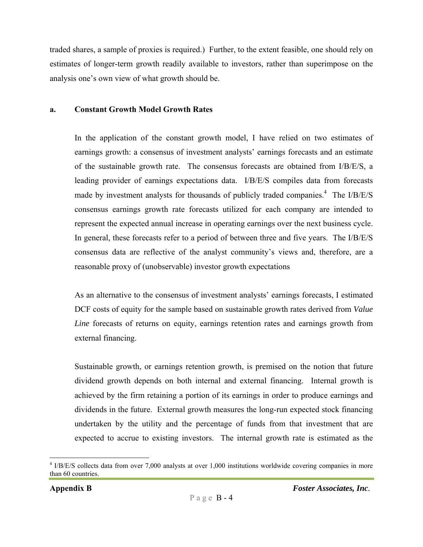traded shares, a sample of proxies is required.) Further, to the extent feasible, one should rely on estimates of longer-term growth readily available to investors, rather than superimpose on the analysis one's own view of what growth should be.

#### **a. Constant Growth Model Growth Rates**

In the application of the constant growth model, I have relied on two estimates of earnings growth: a consensus of investment analysts' earnings forecasts and an estimate of the sustainable growth rate. The consensus forecasts are obtained from I/B/E/S, a leading provider of earnings expectations data. I/B/E/S compiles data from forecasts made by investment analysts for thousands of publicly traded companies.<sup>4</sup> The I/B/E/S consensus earnings growth rate forecasts utilized for each company are intended to represent the expected annual increase in operating earnings over the next business cycle. In general, these forecasts refer to a period of between three and five years. The I/B/E/S consensus data are reflective of the analyst community's views and, therefore, are a reasonable proxy of (unobservable) investor growth expectations

As an alternative to the consensus of investment analysts' earnings forecasts, I estimated DCF costs of equity for the sample based on sustainable growth rates derived from *Value Line* forecasts of returns on equity, earnings retention rates and earnings growth from external financing.

Sustainable growth, or earnings retention growth, is premised on the notion that future dividend growth depends on both internal and external financing. Internal growth is achieved by the firm retaining a portion of its earnings in order to produce earnings and dividends in the future. External growth measures the long-run expected stock financing undertaken by the utility and the percentage of funds from that investment that are expected to accrue to existing investors. The internal growth rate is estimated as the

<sup>&</sup>lt;sup>4</sup> I/B/E/S collects data from over 7,000 analysts at over 1,000 institutions worldwide covering companies in more than 60 countries.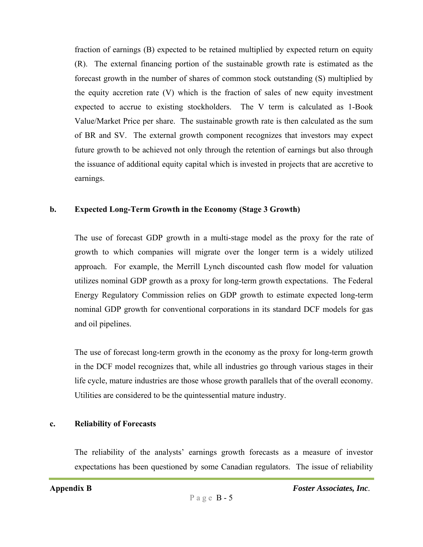fraction of earnings (B) expected to be retained multiplied by expected return on equity (R). The external financing portion of the sustainable growth rate is estimated as the forecast growth in the number of shares of common stock outstanding (S) multiplied by the equity accretion rate (V) which is the fraction of sales of new equity investment expected to accrue to existing stockholders. The V term is calculated as 1-Book Value/Market Price per share. The sustainable growth rate is then calculated as the sum of BR and SV. The external growth component recognizes that investors may expect future growth to be achieved not only through the retention of earnings but also through the issuance of additional equity capital which is invested in projects that are accretive to earnings.

#### **b. Expected Long-Term Growth in the Economy (Stage 3 Growth)**

The use of forecast GDP growth in a multi-stage model as the proxy for the rate of growth to which companies will migrate over the longer term is a widely utilized approach. For example, the Merrill Lynch discounted cash flow model for valuation utilizes nominal GDP growth as a proxy for long-term growth expectations. The Federal Energy Regulatory Commission relies on GDP growth to estimate expected long-term nominal GDP growth for conventional corporations in its standard DCF models for gas and oil pipelines.

The use of forecast long-term growth in the economy as the proxy for long-term growth in the DCF model recognizes that, while all industries go through various stages in their life cycle, mature industries are those whose growth parallels that of the overall economy. Utilities are considered to be the quintessential mature industry.

#### **c. Reliability of Forecasts**

The reliability of the analysts' earnings growth forecasts as a measure of investor expectations has been questioned by some Canadian regulators. The issue of reliability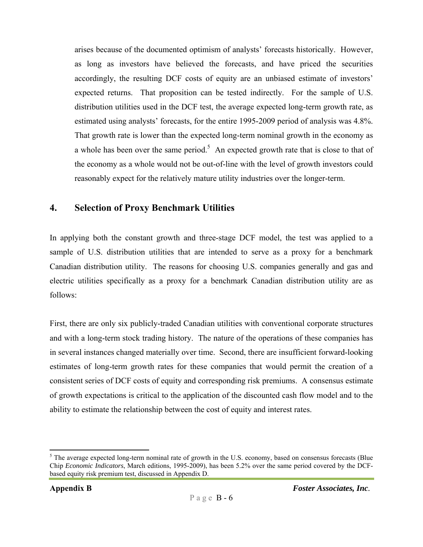arises because of the documented optimism of analysts' forecasts historically. However, as long as investors have believed the forecasts, and have priced the securities accordingly, the resulting DCF costs of equity are an unbiased estimate of investors' expected returns. That proposition can be tested indirectly. For the sample of U.S. distribution utilities used in the DCF test, the average expected long-term growth rate, as estimated using analysts' forecasts, for the entire 1995-2009 period of analysis was 4.8%. That growth rate is lower than the expected long-term nominal growth in the economy as a whole has been over the same period.<sup>5</sup> An expected growth rate that is close to that of the economy as a whole would not be out-of-line with the level of growth investors could reasonably expect for the relatively mature utility industries over the longer-term.

### **4. Selection of Proxy Benchmark Utilities**

In applying both the constant growth and three-stage DCF model, the test was applied to a sample of U.S. distribution utilities that are intended to serve as a proxy for a benchmark Canadian distribution utility. The reasons for choosing U.S. companies generally and gas and electric utilities specifically as a proxy for a benchmark Canadian distribution utility are as follows:

First, there are only six publicly-traded Canadian utilities with conventional corporate structures and with a long-term stock trading history. The nature of the operations of these companies has in several instances changed materially over time. Second, there are insufficient forward-looking estimates of long-term growth rates for these companies that would permit the creation of a consistent series of DCF costs of equity and corresponding risk premiums. A consensus estimate of growth expectations is critical to the application of the discounted cash flow model and to the ability to estimate the relationship between the cost of equity and interest rates.

 $\overline{a}$  $<sup>5</sup>$  The average expected long-term nominal rate of growth in the U.S. economy, based on consensus forecasts (Blue)</sup> Chip *Economic Indicators*, March editions, 1995-2009), has been 5.2% over the same period covered by the DCFbased equity risk premium test, discussed in Appendix D.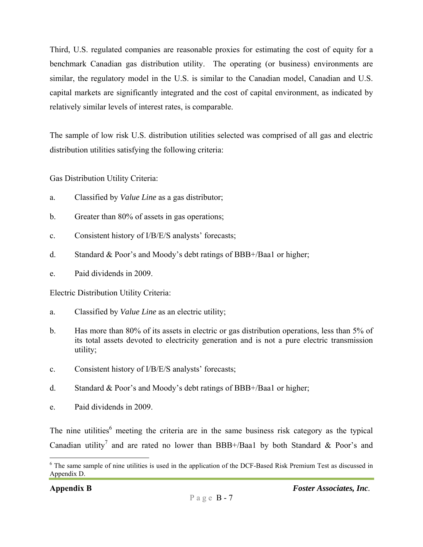Third, U.S. regulated companies are reasonable proxies for estimating the cost of equity for a benchmark Canadian gas distribution utility. The operating (or business) environments are similar, the regulatory model in the U.S. is similar to the Canadian model, Canadian and U.S. capital markets are significantly integrated and the cost of capital environment, as indicated by relatively similar levels of interest rates, is comparable.

The sample of low risk U.S. distribution utilities selected was comprised of all gas and electric distribution utilities satisfying the following criteria:

Gas Distribution Utility Criteria:

- a. Classified by *Value Line* as a gas distributor;
- b. Greater than 80% of assets in gas operations;
- c. Consistent history of I/B/E/S analysts' forecasts;
- d. Standard & Poor's and Moody's debt ratings of BBB+/Baa1 or higher;
- e. Paid dividends in 2009.

Electric Distribution Utility Criteria:

- a. Classified by *Value Line* as an electric utility;
- b. Has more than 80% of its assets in electric or gas distribution operations, less than 5% of its total assets devoted to electricity generation and is not a pure electric transmission utility;
- c. Consistent history of I/B/E/S analysts' forecasts;
- d. Standard & Poor's and Moody's debt ratings of BBB+/Baa1 or higher;
- e. Paid dividends in 2009.

The nine utilities<sup>6</sup> meeting the criteria are in the same business risk category as the typical Canadian utility<sup>7</sup> and are rated no lower than BBB+/Baa1 by both Standard & Poor's and

1

<sup>&</sup>lt;sup>6</sup> The same sample of nine utilities is used in the application of the DCF-Based Risk Premium Test as discussed in Appendix D.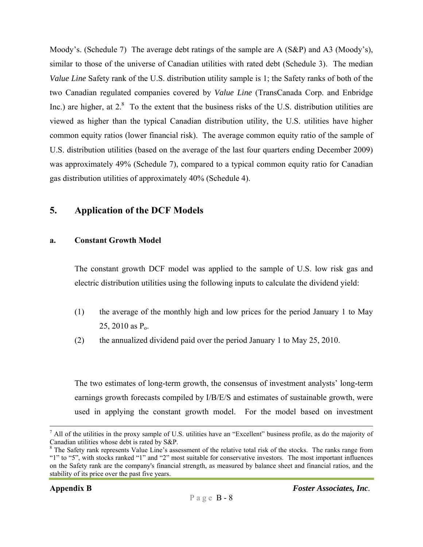Moody's. (Schedule 7) The average debt ratings of the sample are A (S&P) and A3 (Moody's), similar to those of the universe of Canadian utilities with rated debt (Schedule 3). The median *Value Line* Safety rank of the U.S. distribution utility sample is 1; the Safety ranks of both of the two Canadian regulated companies covered by *Value Line* (TransCanada Corp. and Enbridge Inc.) are higher, at  $2<sup>8</sup>$  To the extent that the business risks of the U.S. distribution utilities are viewed as higher than the typical Canadian distribution utility, the U.S. utilities have higher common equity ratios (lower financial risk). The average common equity ratio of the sample of U.S. distribution utilities (based on the average of the last four quarters ending December 2009) was approximately 49% (Schedule 7), compared to a typical common equity ratio for Canadian gas distribution utilities of approximately 40% (Schedule 4).

## **5. Application of the DCF Models**

#### **a. Constant Growth Model**

The constant growth DCF model was applied to the sample of U.S. low risk gas and electric distribution utilities using the following inputs to calculate the dividend yield:

- (1) the average of the monthly high and low prices for the period January 1 to May 25, 2010 as  $P_0$ .
- (2) the annualized dividend paid over the period January 1 to May 25, 2010.

The two estimates of long-term growth, the consensus of investment analysts' long-term earnings growth forecasts compiled by I/B/E/S and estimates of sustainable growth, were used in applying the constant growth model. For the model based on investment

<sup>-&</sup>lt;br>7  $^7$  All of the utilities in the proxy sample of U.S. utilities have an "Excellent" business profile, as do the majority of Canadian utilities whose debt is rated by S&P.

<sup>&</sup>lt;sup>8</sup> The Safety rank represents Value Line's assessment of the relative total risk of the stocks. The ranks range from "1" to "5", with stocks ranked "1" and "2" most suitable for conservative investors. The most important influences on the Safety rank are the company's financial strength, as measured by balance sheet and financial ratios, and the stability of its price over the past five years.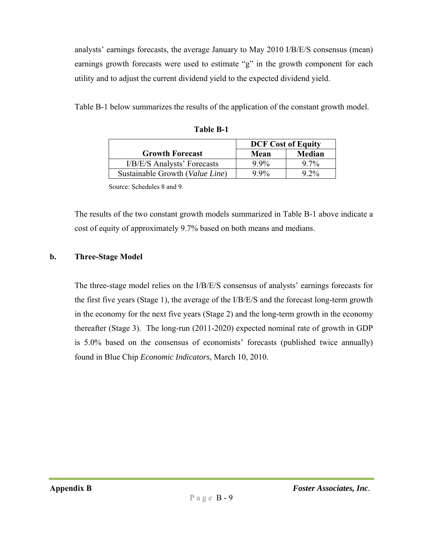analysts' earnings forecasts, the average January to May 2010 I/B/E/S consensus (mean) earnings growth forecasts were used to estimate "g" in the growth component for each utility and to adjust the current dividend yield to the expected dividend yield.

Table B-1 below summarizes the results of the application of the constant growth model.

|                                 | <b>DCF Cost of Equity</b> |        |
|---------------------------------|---------------------------|--------|
| <b>Growth Forecast</b>          | Mean                      | Median |
| I/B/E/S Analysts' Forecasts     | $9.9\%$                   | $97\%$ |
| Sustainable Growth (Value Line) | $9.9\%$                   | $92\%$ |

|  | <b>Table B-1</b> |  |
|--|------------------|--|
|  |                  |  |

Source: Schedules 8 and 9.

The results of the two constant growth models summarized in Table B-1 above indicate a cost of equity of approximately 9.7% based on both means and medians.

#### **b. Three-Stage Model**

The three-stage model relies on the I/B/E/S consensus of analysts' earnings forecasts for the first five years (Stage 1), the average of the I/B/E/S and the forecast long-term growth in the economy for the next five years (Stage 2) and the long-term growth in the economy thereafter (Stage 3). The long-run (2011-2020) expected nominal rate of growth in GDP is 5.0% based on the consensus of economists' forecasts (published twice annually) found in Blue Chip *Economic Indicators*, March 10, 2010.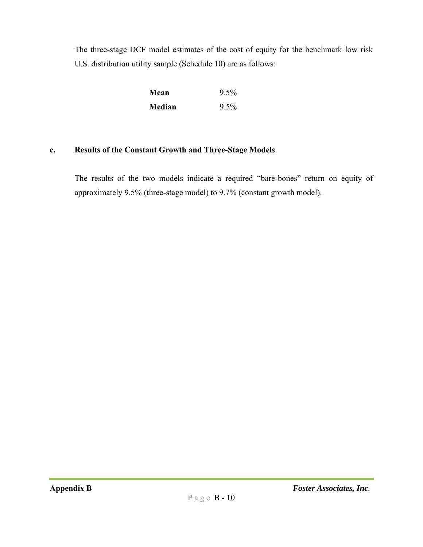The three-stage DCF model estimates of the cost of equity for the benchmark low risk U.S. distribution utility sample (Schedule 10) are as follows:

| Mean          | $9.5\%$ |
|---------------|---------|
| <b>Median</b> | $9.5\%$ |

### **c. Results of the Constant Growth and Three-Stage Models**

The results of the two models indicate a required "bare-bones" return on equity of approximately 9.5% (three-stage model) to 9.7% (constant growth model).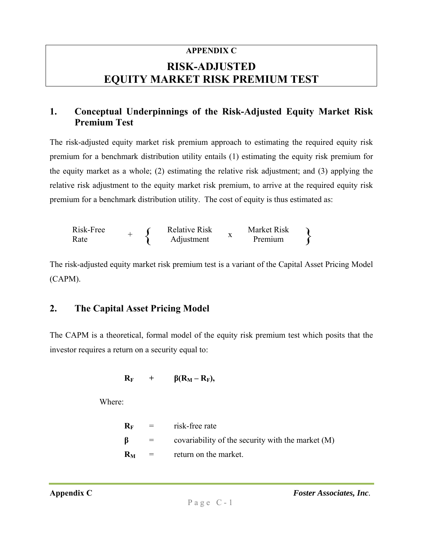# **APPENDIX C RISK-ADJUSTED EQUITY MARKET RISK PREMIUM TEST**

# **1. Conceptual Underpinnings of the Risk-Adjusted Equity Market Risk Premium Test**

The risk-adjusted equity market risk premium approach to estimating the required equity risk premium for a benchmark distribution utility entails (1) estimating the equity risk premium for the equity market as a whole; (2) estimating the relative risk adjustment; and (3) applying the relative risk adjustment to the equity market risk premium, to arrive at the required equity risk premium for a benchmark distribution utility. The cost of equity is thus estimated as:

Risk-Free Rate + { Relative Risk Adjustment <sup>x</sup> Market Risk Premium }

The risk-adjusted equity market risk premium test is a variant of the Capital Asset Pricing Model (CAPM).

# **2. The Capital Asset Pricing Model**

The CAPM is a theoretical, formal model of the equity risk premium test which posits that the investor requires a return on a security equal to:

$$
R_F + \beta (R_M - R_F),
$$

Where:

|                      | $R_F$ = risk-free rate                              |
|----------------------|-----------------------------------------------------|
| <b>Simple Street</b> | covariability of the security with the market $(M)$ |
|                      | $R_M$ = return on the market.                       |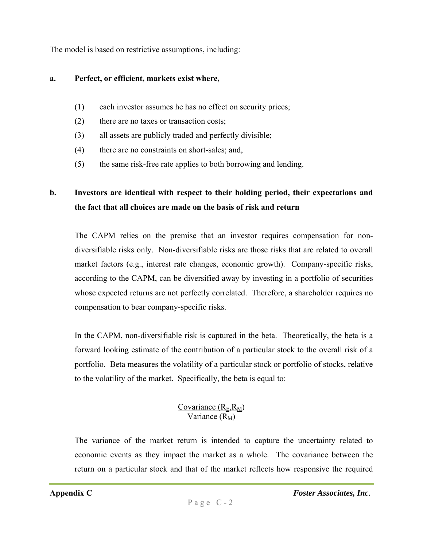The model is based on restrictive assumptions, including:

#### **a. Perfect, or efficient, markets exist where,**

- (1) each investor assumes he has no effect on security prices;
- (2) there are no taxes or transaction costs;
- (3) all assets are publicly traded and perfectly divisible;
- (4) there are no constraints on short-sales; and,
- (5) the same risk-free rate applies to both borrowing and lending.

# **b. Investors are identical with respect to their holding period, their expectations and the fact that all choices are made on the basis of risk and return**

The CAPM relies on the premise that an investor requires compensation for nondiversifiable risks only. Non-diversifiable risks are those risks that are related to overall market factors (e.g., interest rate changes, economic growth). Company-specific risks, according to the CAPM, can be diversified away by investing in a portfolio of securities whose expected returns are not perfectly correlated. Therefore, a shareholder requires no compensation to bear company-specific risks.

In the CAPM, non-diversifiable risk is captured in the beta. Theoretically, the beta is a forward looking estimate of the contribution of a particular stock to the overall risk of a portfolio. Beta measures the volatility of a particular stock or portfolio of stocks, relative to the volatility of the market. Specifically, the beta is equal to:

### Covariance  $(R_E, R_M)$ Variance  $(R_M)$

The variance of the market return is intended to capture the uncertainty related to economic events as they impact the market as a whole. The covariance between the return on a particular stock and that of the market reflects how responsive the required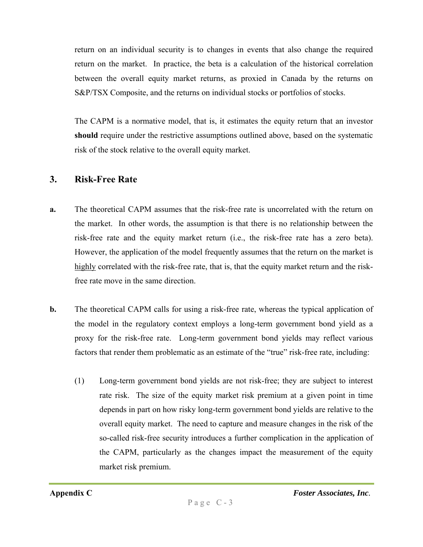return on an individual security is to changes in events that also change the required return on the market. In practice, the beta is a calculation of the historical correlation between the overall equity market returns, as proxied in Canada by the returns on S&P/TSX Composite, and the returns on individual stocks or portfolios of stocks.

The CAPM is a normative model, that is, it estimates the equity return that an investor **should** require under the restrictive assumptions outlined above, based on the systematic risk of the stock relative to the overall equity market.

### **3. Risk-Free Rate**

- **a.** The theoretical CAPM assumes that the risk-free rate is uncorrelated with the return on the market. In other words, the assumption is that there is no relationship between the risk-free rate and the equity market return (i.e., the risk-free rate has a zero beta). However, the application of the model frequently assumes that the return on the market is highly correlated with the risk-free rate, that is, that the equity market return and the riskfree rate move in the same direction.
- **b.** The theoretical CAPM calls for using a risk-free rate, whereas the typical application of the model in the regulatory context employs a long-term government bond yield as a proxy for the risk-free rate. Long-term government bond yields may reflect various factors that render them problematic as an estimate of the "true" risk-free rate, including:
	- (1) Long-term government bond yields are not risk-free; they are subject to interest rate risk. The size of the equity market risk premium at a given point in time depends in part on how risky long-term government bond yields are relative to the overall equity market. The need to capture and measure changes in the risk of the so-called risk-free security introduces a further complication in the application of the CAPM, particularly as the changes impact the measurement of the equity market risk premium.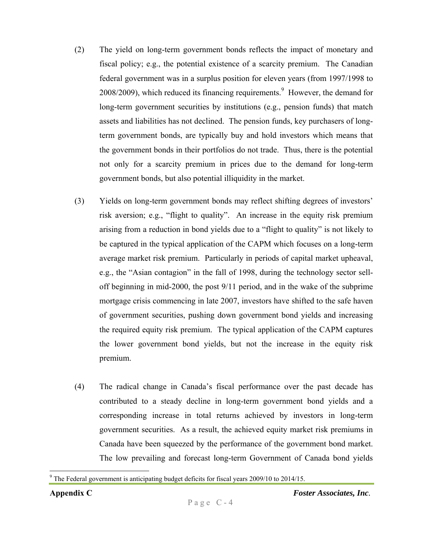- (2) The yield on long-term government bonds reflects the impact of monetary and fiscal policy; e.g., the potential existence of a scarcity premium. The Canadian federal government was in a surplus position for eleven years (from 1997/1998 to  $2008/2009$ ), which reduced its financing requirements.<sup>9</sup> However, the demand for long-term government securities by institutions (e.g., pension funds) that match assets and liabilities has not declined. The pension funds, key purchasers of longterm government bonds, are typically buy and hold investors which means that the government bonds in their portfolios do not trade. Thus, there is the potential not only for a scarcity premium in prices due to the demand for long-term government bonds, but also potential illiquidity in the market.
- (3) Yields on long-term government bonds may reflect shifting degrees of investors' risk aversion; e.g., "flight to quality". An increase in the equity risk premium arising from a reduction in bond yields due to a "flight to quality" is not likely to be captured in the typical application of the CAPM which focuses on a long-term average market risk premium. Particularly in periods of capital market upheaval, e.g., the "Asian contagion" in the fall of 1998, during the technology sector selloff beginning in mid-2000, the post 9/11 period, and in the wake of the subprime mortgage crisis commencing in late 2007, investors have shifted to the safe haven of government securities, pushing down government bond yields and increasing the required equity risk premium. The typical application of the CAPM captures the lower government bond yields, but not the increase in the equity risk premium.
- (4) The radical change in Canada's fiscal performance over the past decade has contributed to a steady decline in long-term government bond yields and a corresponding increase in total returns achieved by investors in long-term government securities. As a result, the achieved equity market risk premiums in Canada have been squeezed by the performance of the government bond market. The low prevailing and forecast long-term Government of Canada bond yields

 $9$  The Federal government is anticipating budget deficits for fiscal years 2009/10 to 2014/15.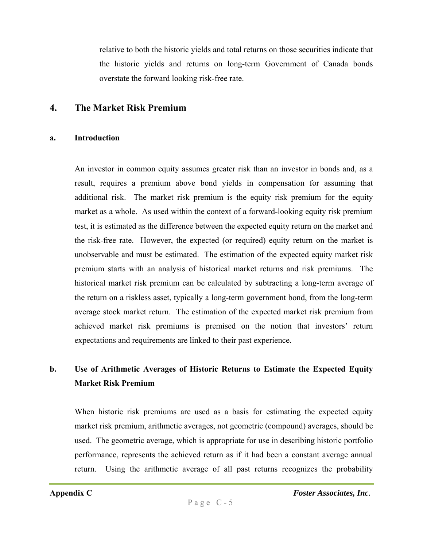relative to both the historic yields and total returns on those securities indicate that the historic yields and returns on long-term Government of Canada bonds overstate the forward looking risk-free rate.

#### **4. The Market Risk Premium**

#### **a. Introduction**

An investor in common equity assumes greater risk than an investor in bonds and, as a result, requires a premium above bond yields in compensation for assuming that additional risk. The market risk premium is the equity risk premium for the equity market as a whole. As used within the context of a forward-looking equity risk premium test, it is estimated as the difference between the expected equity return on the market and the risk-free rate. However, the expected (or required) equity return on the market is unobservable and must be estimated. The estimation of the expected equity market risk premium starts with an analysis of historical market returns and risk premiums. The historical market risk premium can be calculated by subtracting a long-term average of the return on a riskless asset, typically a long-term government bond, from the long-term average stock market return. The estimation of the expected market risk premium from achieved market risk premiums is premised on the notion that investors' return expectations and requirements are linked to their past experience.

# **b. Use of Arithmetic Averages of Historic Returns to Estimate the Expected Equity Market Risk Premium**

When historic risk premiums are used as a basis for estimating the expected equity market risk premium, arithmetic averages, not geometric (compound) averages, should be used. The geometric average, which is appropriate for use in describing historic portfolio performance, represents the achieved return as if it had been a constant average annual return. Using the arithmetic average of all past returns recognizes the probability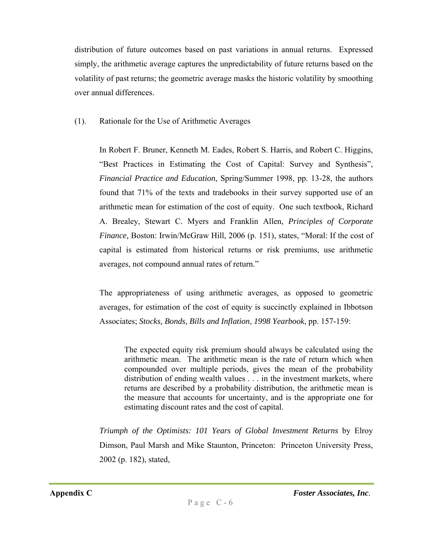distribution of future outcomes based on past variations in annual returns. Expressed simply, the arithmetic average captures the unpredictability of future returns based on the volatility of past returns; the geometric average masks the historic volatility by smoothing over annual differences.

#### (1). Rationale for the Use of Arithmetic Averages

In Robert F. Bruner, Kenneth M. Eades, Robert S. Harris, and Robert C. Higgins, "Best Practices in Estimating the Cost of Capital: Survey and Synthesis", *Financial Practice and Education*, Spring/Summer 1998, pp. 13-28, the authors found that 71% of the texts and tradebooks in their survey supported use of an arithmetic mean for estimation of the cost of equity. One such textbook, Richard A. Brealey, Stewart C. Myers and Franklin Allen, *Principles of Corporate Finance,* Boston: Irwin/McGraw Hill, 2006 (p. 151), states, "Moral: If the cost of capital is estimated from historical returns or risk premiums, use arithmetic averages, not compound annual rates of return."

The appropriateness of using arithmetic averages, as opposed to geometric averages, for estimation of the cost of equity is succinctly explained in Ibbotson Associates; *Stocks, Bonds, Bills and Inflation*, *1998 Yearbook*, pp. 157-159:

The expected equity risk premium should always be calculated using the arithmetic mean. The arithmetic mean is the rate of return which when compounded over multiple periods, gives the mean of the probability distribution of ending wealth values . . . in the investment markets, where returns are described by a probability distribution, the arithmetic mean is the measure that accounts for uncertainty, and is the appropriate one for estimating discount rates and the cost of capital.

*Triumph of the Optimists: 101 Years of Global Investment Returns* by Elroy Dimson, Paul Marsh and Mike Staunton, Princeton: Princeton University Press, 2002 (p. 182), stated,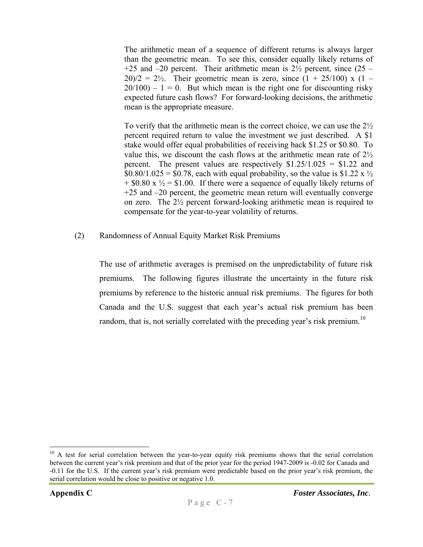The arithmetic mean of a sequence of different returns is always larger than the geometric mean. To see this, consider equally likely returns of +25 and  $-20$  percent. Their arithmetic mean is  $2\frac{1}{2}$  percent, since (25 –  $20/2 = 2\frac{1}{2}$ . Their geometric mean is zero, since  $(1 + 25/100)$  x  $(1 20/100$  – 1 = 0. But which mean is the right one for discounting risky expected future cash flows? For forward-looking decisions, the arithmetic mean is the appropriate measure.

To verify that the arithmetic mean is the correct choice, we can use the 2½ percent required return to value the investment we just described. A \$1 stake would offer equal probabilities of receiving back \$1.25 or \$0.80. To value this, we discount the cash flows at the arithmetic mean rate of 2½ percent. The present values are respectively  $$1.25/1.025 = $1.22$  and  $$0.80/1.025 = $0.78$ , each with equal probability, so the value is \$1.22 x  $\frac{1}{2}$  $+$  \$0.80 x  $\frac{1}{2}$  = \$1.00. If there were a sequence of equally likely returns of +25 and –20 percent, the geometric mean return will eventually converge on zero. The 2½ percent forward-looking arithmetic mean is required to compensate for the year-to-year volatility of returns.

#### (2) Randomness of Annual Equity Market Risk Premiums

The use of arithmetic averages is premised on the unpredictability of future risk premiums. The following figures illustrate the uncertainty in the future risk premiums by reference to the historic annual risk premiums. The figures for both Canada and the U.S. suggest that each year's actual risk premium has been random, that is, not serially correlated with the preceding year's risk premium.<sup>10</sup>

<sup>&</sup>lt;sup>10</sup> A test for serial correlation between the year-to-year equity risk premiums shows that the serial correlation between the current year's risk premium and that of the prior year for the period 1947-2009 is -0.02 for Canada and -0.11 for the U.S. If the current year's risk premium were predictable based on the prior year's risk premium, the serial correlation would be close to positive or negative 1.0.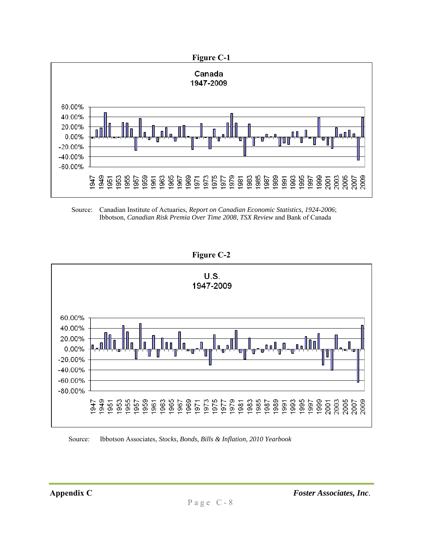

Source: Canadian Institute of Actuaries, *Report on Canadian Economic Statistics, 1924-2006*; Ibbotson, *Canadian Risk Premia Over Time 2008*, *TSX Review* and Bank of Canada

**Figure C-2** 



Source: Ibbotson Associates, *Stocks, Bonds, Bills & Inflation, 2010 Yearbook*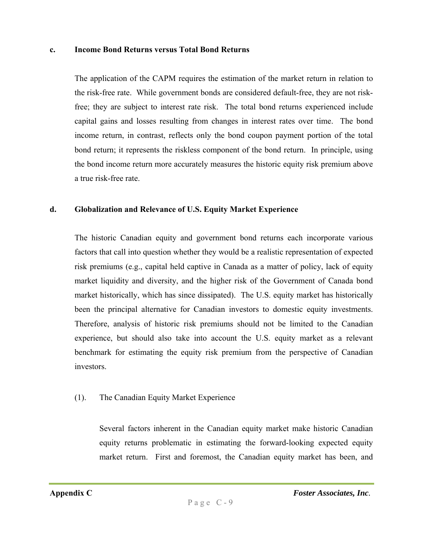#### **c. Income Bond Returns versus Total Bond Returns**

The application of the CAPM requires the estimation of the market return in relation to the risk-free rate. While government bonds are considered default-free, they are not riskfree; they are subject to interest rate risk. The total bond returns experienced include capital gains and losses resulting from changes in interest rates over time. The bond income return, in contrast, reflects only the bond coupon payment portion of the total bond return; it represents the riskless component of the bond return. In principle, using the bond income return more accurately measures the historic equity risk premium above a true risk-free rate.

#### **d. Globalization and Relevance of U.S. Equity Market Experience**

The historic Canadian equity and government bond returns each incorporate various factors that call into question whether they would be a realistic representation of expected risk premiums (e.g., capital held captive in Canada as a matter of policy, lack of equity market liquidity and diversity, and the higher risk of the Government of Canada bond market historically, which has since dissipated). The U.S. equity market has historically been the principal alternative for Canadian investors to domestic equity investments. Therefore, analysis of historic risk premiums should not be limited to the Canadian experience, but should also take into account the U.S. equity market as a relevant benchmark for estimating the equity risk premium from the perspective of Canadian investors.

#### (1). The Canadian Equity Market Experience

Several factors inherent in the Canadian equity market make historic Canadian equity returns problematic in estimating the forward-looking expected equity market return. First and foremost, the Canadian equity market has been, and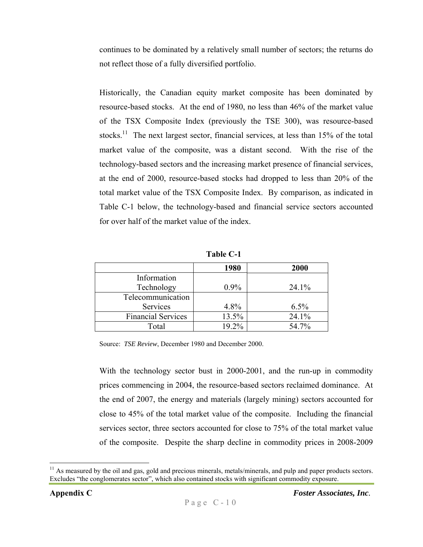continues to be dominated by a relatively small number of sectors; the returns do not reflect those of a fully diversified portfolio.

Historically, the Canadian equity market composite has been dominated by resource-based stocks. At the end of 1980, no less than 46% of the market value of the TSX Composite Index (previously the TSE 300), was resource-based stocks.<sup>11</sup> The next largest sector, financial services, at less than 15% of the total market value of the composite, was a distant second. With the rise of the technology-based sectors and the increasing market presence of financial services, at the end of 2000, resource-based stocks had dropped to less than 20% of the total market value of the TSX Composite Index. By comparison, as indicated in Table C-1 below, the technology-based and financial service sectors accounted for over half of the market value of the index.

| Table C-1 |
|-----------|
|-----------|

|                           | 1980    | <b>2000</b> |
|---------------------------|---------|-------------|
| Information               |         |             |
| Technology                | $0.9\%$ | 24.1%       |
| Telecommunication         |         |             |
| Services                  | 4.8%    | 6.5%        |
| <b>Financial Services</b> | 13.5%   | 24.1%       |
| Total                     | 19.2%   | 54.7%       |

Source: *TSE Review*, December 1980 and December 2000.

With the technology sector bust in 2000-2001, and the run-up in commodity prices commencing in 2004, the resource-based sectors reclaimed dominance. At the end of 2007, the energy and materials (largely mining) sectors accounted for close to 45% of the total market value of the composite. Including the financial services sector, three sectors accounted for close to 75% of the total market value of the composite. Despite the sharp decline in commodity prices in 2008-2009

 $<sup>11</sup>$  As measured by the oil and gas, gold and precious minerals, metals/minerals, and pulp and paper products sectors.</sup> Excludes "the conglomerates sector", which also contained stocks with significant commodity exposure.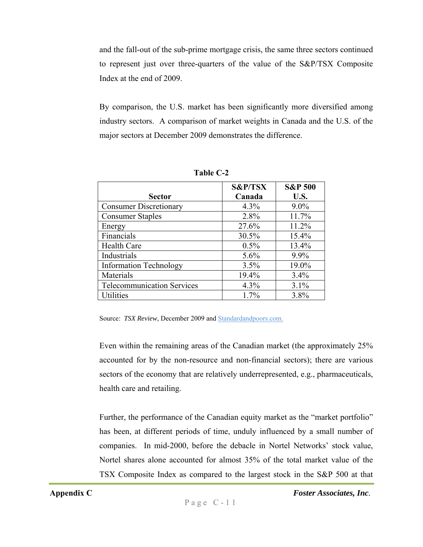and the fall-out of the sub-prime mortgage crisis, the same three sectors continued to represent just over three-quarters of the value of the S&P/TSX Composite Index at the end of 2009.

By comparison, the U.S. market has been significantly more diversified among industry sectors. A comparison of market weights in Canada and the U.S. of the major sectors at December 2009 demonstrates the difference.

|                                   | <b>S&amp;P/TSX</b> | <b>S&amp;P 500</b> |
|-----------------------------------|--------------------|--------------------|
| <b>Sector</b>                     | Canada             | U.S.               |
| <b>Consumer Discretionary</b>     | 4.3%               | $9.0\%$            |
| <b>Consumer Staples</b>           | 2.8%               | 11.7%              |
| Energy                            | 27.6%              | 11.2%              |
| Financials                        | 30.5%              | 15.4%              |
| <b>Health Care</b>                | 0.5%               | 13.4%              |
| Industrials                       | 5.6%               | 9.9%               |
| <b>Information Technology</b>     | 3.5%               | 19.0%              |
| Materials                         | 19.4%              | 3.4%               |
| <b>Telecommunication Services</b> | 4.3%               | 3.1%               |
| <b>Utilities</b>                  | 1.7%               | 3.8%               |

**Table C-2** 

Source: *TSX Review, December 2009 and Standardandpoors.com.* 

Even within the remaining areas of the Canadian market (the approximately 25% accounted for by the non-resource and non-financial sectors); there are various sectors of the economy that are relatively underrepresented, e.g., pharmaceuticals, health care and retailing.

Further, the performance of the Canadian equity market as the "market portfolio" has been, at different periods of time, unduly influenced by a small number of companies. In mid-2000, before the debacle in Nortel Networks' stock value, Nortel shares alone accounted for almost 35% of the total market value of the TSX Composite Index as compared to the largest stock in the S&P 500 at that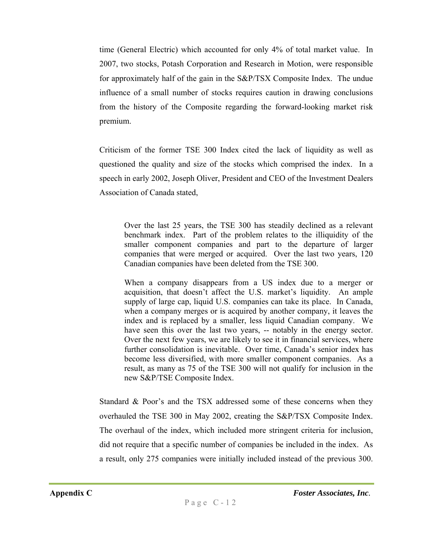time (General Electric) which accounted for only 4% of total market value. In 2007, two stocks, Potash Corporation and Research in Motion, were responsible for approximately half of the gain in the S&P/TSX Composite Index. The undue influence of a small number of stocks requires caution in drawing conclusions from the history of the Composite regarding the forward-looking market risk premium.

Criticism of the former TSE 300 Index cited the lack of liquidity as well as questioned the quality and size of the stocks which comprised the index. In a speech in early 2002, Joseph Oliver, President and CEO of the Investment Dealers Association of Canada stated,

Over the last 25 years, the TSE 300 has steadily declined as a relevant benchmark index. Part of the problem relates to the illiquidity of the smaller component companies and part to the departure of larger companies that were merged or acquired. Over the last two years, 120 Canadian companies have been deleted from the TSE 300.

When a company disappears from a US index due to a merger or acquisition, that doesn't affect the U.S. market's liquidity. An ample supply of large cap, liquid U.S. companies can take its place. In Canada, when a company merges or is acquired by another company, it leaves the index and is replaced by a smaller, less liquid Canadian company. We have seen this over the last two years, -- notably in the energy sector. Over the next few years, we are likely to see it in financial services, where further consolidation is inevitable. Over time, Canada's senior index has become less diversified, with more smaller component companies. As a result, as many as 75 of the TSE 300 will not qualify for inclusion in the new S&P/TSE Composite Index.

Standard & Poor's and the TSX addressed some of these concerns when they overhauled the TSE 300 in May 2002, creating the S&P/TSX Composite Index. The overhaul of the index, which included more stringent criteria for inclusion, did not require that a specific number of companies be included in the index. As a result, only 275 companies were initially included instead of the previous 300.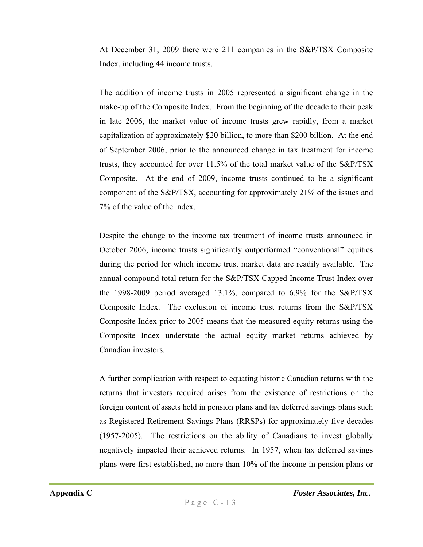At December 31, 2009 there were 211 companies in the S&P/TSX Composite Index, including 44 income trusts.

The addition of income trusts in 2005 represented a significant change in the make-up of the Composite Index. From the beginning of the decade to their peak in late 2006, the market value of income trusts grew rapidly, from a market capitalization of approximately \$20 billion, to more than \$200 billion. At the end of September 2006, prior to the announced change in tax treatment for income trusts, they accounted for over 11.5% of the total market value of the S&P/TSX Composite. At the end of 2009, income trusts continued to be a significant component of the S&P/TSX, accounting for approximately 21% of the issues and 7% of the value of the index.

Despite the change to the income tax treatment of income trusts announced in October 2006, income trusts significantly outperformed "conventional" equities during the period for which income trust market data are readily available. The annual compound total return for the S&P/TSX Capped Income Trust Index over the 1998-2009 period averaged 13.1%, compared to 6.9% for the S&P/TSX Composite Index. The exclusion of income trust returns from the S&P/TSX Composite Index prior to 2005 means that the measured equity returns using the Composite Index understate the actual equity market returns achieved by Canadian investors.

A further complication with respect to equating historic Canadian returns with the returns that investors required arises from the existence of restrictions on the foreign content of assets held in pension plans and tax deferred savings plans such as Registered Retirement Savings Plans (RRSPs) for approximately five decades (1957-2005). The restrictions on the ability of Canadians to invest globally negatively impacted their achieved returns. In 1957, when tax deferred savings plans were first established, no more than 10% of the income in pension plans or

**Appendix C** *Foster Associates, Inc.*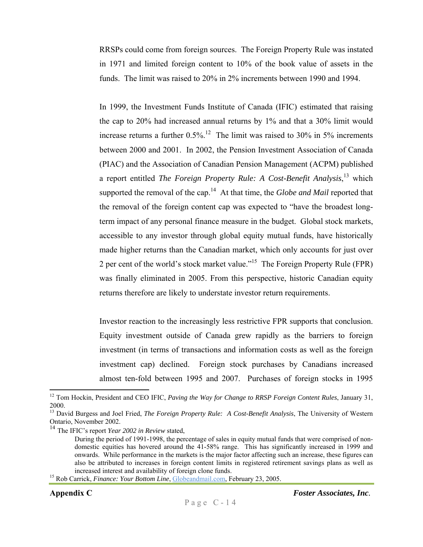RRSPs could come from foreign sources. The Foreign Property Rule was instated in 1971 and limited foreign content to 10% of the book value of assets in the funds. The limit was raised to 20% in 2% increments between 1990 and 1994.

In 1999, the Investment Funds Institute of Canada (IFIC) estimated that raising the cap to 20% had increased annual returns by 1% and that a 30% limit would increase returns a further  $0.5\%$ .<sup>12</sup> The limit was raised to 30% in 5% increments between 2000 and 2001. In 2002, the Pension Investment Association of Canada (PIAC) and the Association of Canadian Pension Management (ACPM) published a report entitled *The Foreign Property Rule: A Cost-Benefit Analysis*, 13 which supported the removal of the cap.14 At that time, the *Globe and Mail* reported that the removal of the foreign content cap was expected to "have the broadest longterm impact of any personal finance measure in the budget. Global stock markets, accessible to any investor through global equity mutual funds, have historically made higher returns than the Canadian market, which only accounts for just over 2 per cent of the world's stock market value."15 The Foreign Property Rule (FPR) was finally eliminated in 2005. From this perspective, historic Canadian equity returns therefore are likely to understate investor return requirements.

Investor reaction to the increasingly less restrictive FPR supports that conclusion. Equity investment outside of Canada grew rapidly as the barriers to foreign investment (in terms of transactions and information costs as well as the foreign investment cap) declined. Foreign stock purchases by Canadians increased almost ten-fold between 1995 and 2007. Purchases of foreign stocks in 1995

<sup>12</sup> Tom Hockin, President and CEO IFIC, *Paving the Way for Change to RRSP Foreign Content Rules*, January 31, 2000.

<sup>&</sup>lt;sup>13</sup> David Burgess and Joel Fried, *The Foreign Property Rule: A Cost-Benefit Analysis*, The University of Western Ontario, November 2002.

<sup>&</sup>lt;sup>14</sup> The IFIC's report *Year 2002 in Review* stated,<br>During the period of 1991-1998, the percentage of sales in equity mutual funds that were comprised of nondomestic equities has hovered around the 41-58% range. This has significantly increased in 1999 and onwards. While performance in the markets is the major factor affecting such an increase, these figures can also be attributed to increases in foreign content limits in registered retirement savings plans as well as increased interest and availability of foreign clone funds. 15 Rob Carrick, *Finance: Your Bottom Line*, Globeandmail.com, February 23, 2005.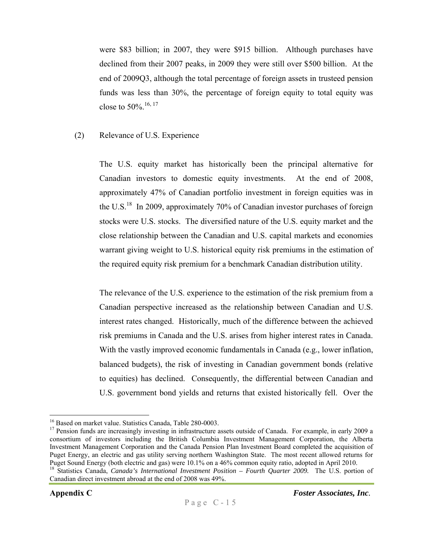were \$83 billion; in 2007, they were \$915 billion. Although purchases have declined from their 2007 peaks, in 2009 they were still over \$500 billion. At the end of 2009Q3, although the total percentage of foreign assets in trusteed pension funds was less than 30%, the percentage of foreign equity to total equity was close to 50%.16, 17

#### (2) Relevance of U.S. Experience

The U.S. equity market has historically been the principal alternative for Canadian investors to domestic equity investments. At the end of 2008, approximately 47% of Canadian portfolio investment in foreign equities was in the U.S.<sup>18</sup> In 2009, approximately 70% of Canadian investor purchases of foreign stocks were U.S. stocks. The diversified nature of the U.S. equity market and the close relationship between the Canadian and U.S. capital markets and economies warrant giving weight to U.S. historical equity risk premiums in the estimation of the required equity risk premium for a benchmark Canadian distribution utility.

The relevance of the U.S. experience to the estimation of the risk premium from a Canadian perspective increased as the relationship between Canadian and U.S. interest rates changed. Historically, much of the difference between the achieved risk premiums in Canada and the U.S. arises from higher interest rates in Canada. With the vastly improved economic fundamentals in Canada (e.g., lower inflation, balanced budgets), the risk of investing in Canadian government bonds (relative to equities) has declined. Consequently, the differential between Canadian and U.S. government bond yields and returns that existed historically fell. Over the

 $\overline{a}$ <sup>16</sup> Based on market value. Statistics Canada, Table 280-0003.

<sup>&</sup>lt;sup>17</sup> Pension funds are increasingly investing in infrastructure assets outside of Canada. For example, in early 2009 a consortium of investors including the British Columbia Investment Management Corporation, the Alberta Investment Management Corporation and the Canada Pension Plan Investment Board completed the acquisition of Puget Energy, an electric and gas utility serving northern Washington State. The most recent allowed returns for Puget Sound Energy (both electric and gas) were 10.1% on a 46% common equity ratio, adopted in April 2010.

<sup>&</sup>lt;sup>18</sup> Statistics Canada, *Canada's International Investment Position – Fourth Quarter 2009.* The U.S. portion of Canadian direct investment abroad at the end of 2008 was 49%.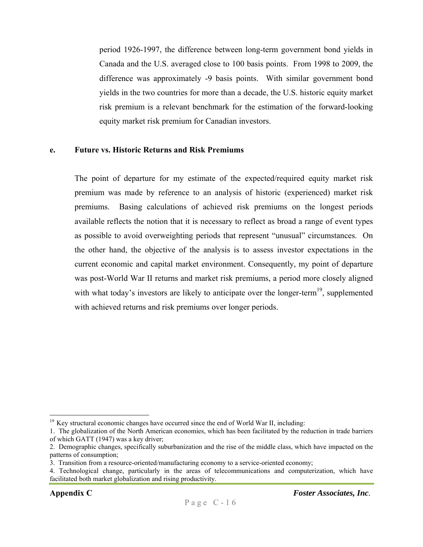period 1926-1997, the difference between long-term government bond yields in Canada and the U.S. averaged close to 100 basis points. From 1998 to 2009, the difference was approximately -9 basis points. With similar government bond yields in the two countries for more than a decade, the U.S. historic equity market risk premium is a relevant benchmark for the estimation of the forward-looking equity market risk premium for Canadian investors.

#### **e. Future vs. Historic Returns and Risk Premiums**

The point of departure for my estimate of the expected/required equity market risk premium was made by reference to an analysis of historic (experienced) market risk premiums. Basing calculations of achieved risk premiums on the longest periods available reflects the notion that it is necessary to reflect as broad a range of event types as possible to avoid overweighting periods that represent "unusual" circumstances. On the other hand, the objective of the analysis is to assess investor expectations in the current economic and capital market environment. Consequently, my point of departure was post-World War II returns and market risk premiums, a period more closely aligned with what today's investors are likely to anticipate over the longer-term<sup>19</sup>, supplemented with achieved returns and risk premiums over longer periods.

 $19$  Key structural economic changes have occurred since the end of World War II, including:

<sup>1.</sup> The globalization of the North American economies, which has been facilitated by the reduction in trade barriers of which GATT (1947) was a key driver;

<sup>2.</sup> Demographic changes, specifically suburbanization and the rise of the middle class, which have impacted on the patterns of consumption;

<sup>3.</sup> Transition from a resource-oriented/manufacturing economy to a service-oriented economy;

<sup>4.</sup> Technological change, particularly in the areas of telecommunications and computerization, which have facilitated both market globalization and rising productivity.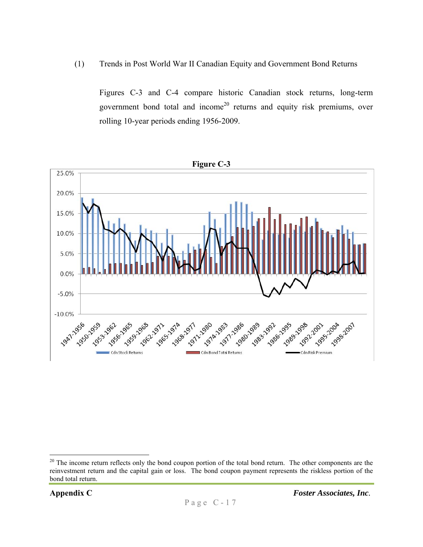(1) Trends in Post World War II Canadian Equity and Government Bond Returns

Figures C-3 and C-4 compare historic Canadian stock returns, long-term government bond total and income<sup>20</sup> returns and equity risk premiums, over rolling 10-year periods ending 1956-2009.



1

<sup>&</sup>lt;sup>20</sup> The income return reflects only the bond coupon portion of the total bond return. The other components are the reinvestment return and the capital gain or loss. The bond coupon payment represents the riskless portion of the bond total return.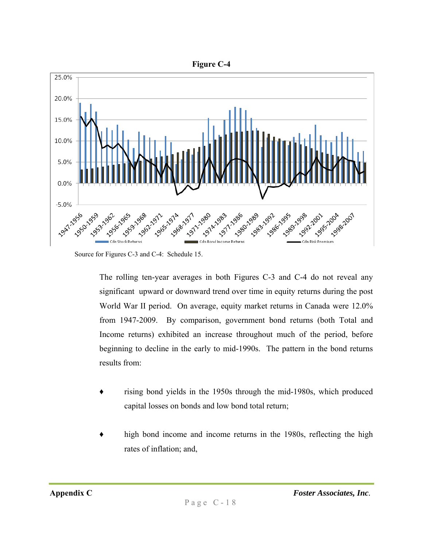

Source for Figures C-3 and C-4: Schedule 15.

The rolling ten-year averages in both Figures C-3 and C-4 do not reveal any significant upward or downward trend over time in equity returns during the post World War II period. On average, equity market returns in Canada were 12.0% from 1947-2009. By comparison, government bond returns (both Total and Income returns) exhibited an increase throughout much of the period, before beginning to decline in the early to mid-1990s. The pattern in the bond returns results from:

- rising bond yields in the 1950s through the mid-1980s, which produced capital losses on bonds and low bond total return;
- high bond income and income returns in the 1980s, reflecting the high rates of inflation; and,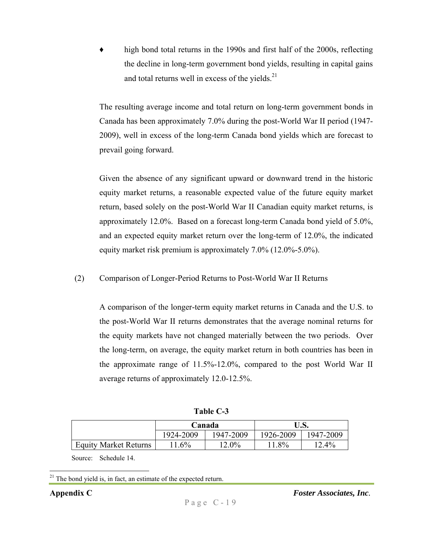high bond total returns in the 1990s and first half of the 2000s, reflecting the decline in long-term government bond yields, resulting in capital gains and total returns well in excess of the yields. $^{21}$ 

The resulting average income and total return on long-term government bonds in Canada has been approximately 7.0% during the post-World War II period (1947- 2009), well in excess of the long-term Canada bond yields which are forecast to prevail going forward.

Given the absence of any significant upward or downward trend in the historic equity market returns, a reasonable expected value of the future equity market return, based solely on the post-World War II Canadian equity market returns, is approximately 12.0%. Based on a forecast long-term Canada bond yield of 5.0%, and an expected equity market return over the long-term of 12.0%, the indicated equity market risk premium is approximately 7.0% (12.0%-5.0%).

(2) Comparison of Longer-Period Returns to Post-World War II Returns

A comparison of the longer-term equity market returns in Canada and the U.S. to the post-World War II returns demonstrates that the average nominal returns for the equity markets have not changed materially between the two periods. Over the long-term, on average, the equity market return in both countries has been in the approximate range of 11.5%-12.0%, compared to the post World War II average returns of approximately 12.0-12.5%.

| <b>Table C-3</b> |  |
|------------------|--|
|------------------|--|

|                              |           | Canada    | U.S.      |           |  |
|------------------------------|-----------|-----------|-----------|-----------|--|
|                              | 1924-2009 | 1947-2009 | 1926-2009 | 1947-2009 |  |
| <b>Equity Market Returns</b> | $11.6\%$  | $12.0\%$  | $11.8\%$  | $12.4\%$  |  |

Source: Schedule 14.

 $\overline{a}$ 

**Appendix C** *Foster Associates, Inc.* 

 $21$  The bond yield is, in fact, an estimate of the expected return.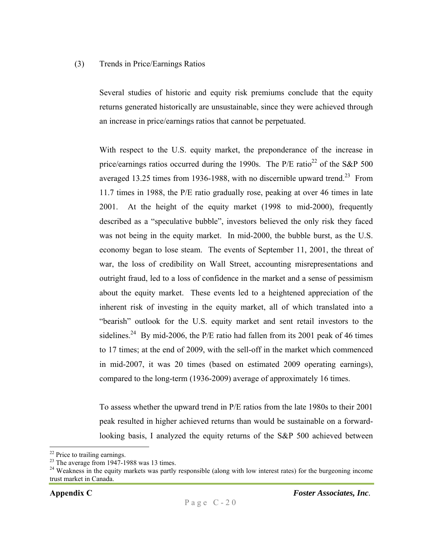#### (3) Trends in Price/Earnings Ratios

Several studies of historic and equity risk premiums conclude that the equity returns generated historically are unsustainable, since they were achieved through an increase in price/earnings ratios that cannot be perpetuated.

With respect to the U.S. equity market, the preponderance of the increase in price/earnings ratios occurred during the 1990s. The  $P/E$  ratio<sup>22</sup> of the S&P 500 averaged 13.25 times from 1936-1988, with no discernible upward trend.<sup>23</sup> From 11.7 times in 1988, the P/E ratio gradually rose, peaking at over 46 times in late 2001. At the height of the equity market (1998 to mid-2000), frequently described as a "speculative bubble", investors believed the only risk they faced was not being in the equity market. In mid-2000, the bubble burst, as the U.S. economy began to lose steam. The events of September 11, 2001, the threat of war, the loss of credibility on Wall Street, accounting misrepresentations and outright fraud, led to a loss of confidence in the market and a sense of pessimism about the equity market. These events led to a heightened appreciation of the inherent risk of investing in the equity market, all of which translated into a "bearish" outlook for the U.S. equity market and sent retail investors to the sidelines.<sup>24</sup> By mid-2006, the P/E ratio had fallen from its 2001 peak of 46 times to 17 times; at the end of 2009, with the sell-off in the market which commenced in mid-2007, it was 20 times (based on estimated 2009 operating earnings), compared to the long-term (1936-2009) average of approximately 16 times.

To assess whether the upward trend in P/E ratios from the late 1980s to their 2001 peak resulted in higher achieved returns than would be sustainable on a forwardlooking basis, I analyzed the equity returns of the S&P 500 achieved between

1

<sup>&</sup>lt;sup>22</sup> Price to trailing earnings.

 $2<sup>23</sup>$  The average from 1947-1988 was 13 times.

<sup>&</sup>lt;sup>24</sup> Weakness in the equity markets was partly responsible (along with low interest rates) for the burgeoning income trust market in Canada.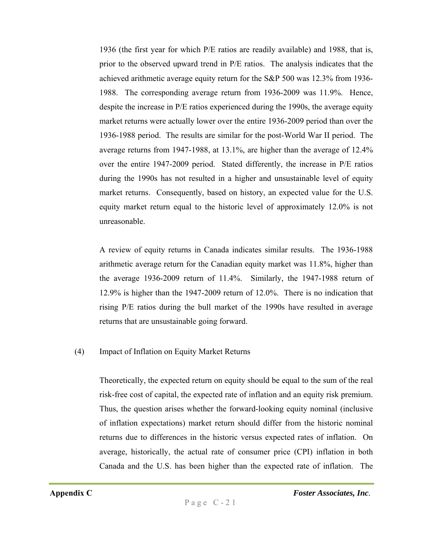1936 (the first year for which P/E ratios are readily available) and 1988, that is, prior to the observed upward trend in P/E ratios. The analysis indicates that the achieved arithmetic average equity return for the S&P 500 was 12.3% from 1936- 1988. The corresponding average return from 1936-2009 was 11.9%. Hence, despite the increase in P/E ratios experienced during the 1990s, the average equity market returns were actually lower over the entire 1936-2009 period than over the 1936-1988 period. The results are similar for the post-World War II period. The average returns from 1947-1988, at 13.1%, are higher than the average of 12.4% over the entire 1947-2009 period. Stated differently, the increase in P/E ratios during the 1990s has not resulted in a higher and unsustainable level of equity market returns. Consequently, based on history, an expected value for the U.S. equity market return equal to the historic level of approximately 12.0% is not unreasonable.

A review of equity returns in Canada indicates similar results. The 1936-1988 arithmetic average return for the Canadian equity market was 11.8%, higher than the average 1936-2009 return of 11.4%. Similarly, the 1947-1988 return of 12.9% is higher than the 1947-2009 return of 12.0%. There is no indication that rising P/E ratios during the bull market of the 1990s have resulted in average returns that are unsustainable going forward.

#### (4) Impact of Inflation on Equity Market Returns

Theoretically, the expected return on equity should be equal to the sum of the real risk-free cost of capital, the expected rate of inflation and an equity risk premium. Thus, the question arises whether the forward-looking equity nominal (inclusive of inflation expectations) market return should differ from the historic nominal returns due to differences in the historic versus expected rates of inflation. On average, historically, the actual rate of consumer price (CPI) inflation in both Canada and the U.S. has been higher than the expected rate of inflation. The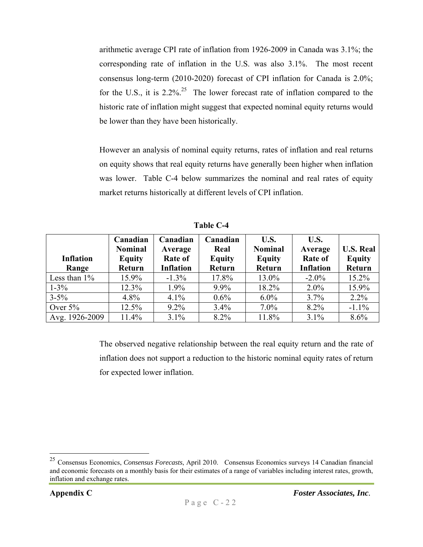arithmetic average CPI rate of inflation from 1926-2009 in Canada was 3.1%; the corresponding rate of inflation in the U.S. was also 3.1%. The most recent consensus long-term (2010-2020) forecast of CPI inflation for Canada is 2.0%; for the U.S., it is  $2.2\%$ <sup>25</sup>. The lower forecast rate of inflation compared to the historic rate of inflation might suggest that expected nominal equity returns would be lower than they have been historically.

However an analysis of nominal equity returns, rates of inflation and real returns on equity shows that real equity returns have generally been higher when inflation was lower. Table C-4 below summarizes the nominal and real rates of equity market returns historically at different levels of CPI inflation.

| <b>Inflation</b><br>Range | Canadian<br><b>Nominal</b><br><b>Equity</b><br>Return | Canadian<br>Average<br>Rate of<br><b>Inflation</b> | Canadian<br>Real<br><b>Equity</b><br>Return | U.S.<br><b>Nominal</b><br><b>Equity</b><br>Return | U.S.<br>Average<br><b>Rate of</b><br><b>Inflation</b> | <b>U.S. Real</b><br><b>Equity</b><br>Return |
|---------------------------|-------------------------------------------------------|----------------------------------------------------|---------------------------------------------|---------------------------------------------------|-------------------------------------------------------|---------------------------------------------|
| Less than $1\%$           | 15.9%                                                 | $-1.3\%$                                           | 17.8%                                       | 13.0%                                             | $-2.0\%$                                              | 15.2%                                       |
| $1 - 3\%$                 | 12.3%                                                 | $1.9\%$                                            | 9.9%                                        | 18.2%                                             | $2.0\%$                                               | 15.9%                                       |
| $3 - 5\%$                 | $4.8\%$                                               | 4.1%                                               | $0.6\%$                                     | $6.0\%$                                           | 3.7%                                                  | 2.2%                                        |
| Over $5%$                 | 12.5%                                                 | $9.2\%$                                            | 3.4%                                        | $7.0\%$                                           | 8.2%                                                  | $-1.1\%$                                    |
| Avg. 1926-2009            | 11.4%                                                 | 3.1%                                               | 8.2%                                        | 11.8%                                             | 3.1%                                                  | 8.6%                                        |

**Table C-4** 

The observed negative relationship between the real equity return and the rate of inflation does not support a reduction to the historic nominal equity rates of return for expected lower inflation.

<sup>25</sup> Consensus Economics, *Consensus Forecasts*, April 2010. Consensus Economics surveys 14 Canadian financial and economic forecasts on a monthly basis for their estimates of a range of variables including interest rates, growth, inflation and exchange rates.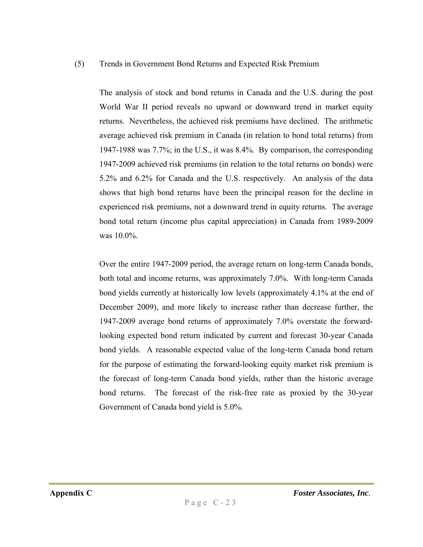#### (5) Trends in Government Bond Returns and Expected Risk Premium

The analysis of stock and bond returns in Canada and the U.S. during the post World War II period reveals no upward or downward trend in market equity returns. Nevertheless, the achieved risk premiums have declined. The arithmetic average achieved risk premium in Canada (in relation to bond total returns) from 1947-1988 was 7.7%; in the U.S., it was 8.4%. By comparison, the corresponding 1947-2009 achieved risk premiums (in relation to the total returns on bonds) were 5.2% and 6.2% for Canada and the U.S. respectively. An analysis of the data shows that high bond returns have been the principal reason for the decline in experienced risk premiums, not a downward trend in equity returns. The average bond total return (income plus capital appreciation) in Canada from 1989-2009 was 10.0%.

Over the entire 1947-2009 period, the average return on long-term Canada bonds, both total and income returns, was approximately 7.0%. With long-term Canada bond yields currently at historically low levels (approximately 4.1% at the end of December 2009), and more likely to increase rather than decrease further, the 1947-2009 average bond returns of approximately 7.0% overstate the forwardlooking expected bond return indicated by current and forecast 30-year Canada bond yields. A reasonable expected value of the long-term Canada bond return for the purpose of estimating the forward-looking equity market risk premium is the forecast of long-term Canada bond yields, rather than the historic average bond returns. The forecast of the risk-free rate as proxied by the 30-year Government of Canada bond yield is 5.0%.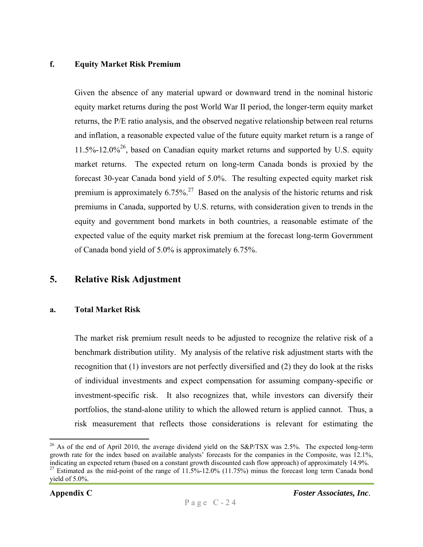#### **f. Equity Market Risk Premium**

Given the absence of any material upward or downward trend in the nominal historic equity market returns during the post World War II period, the longer-term equity market returns, the P/E ratio analysis, and the observed negative relationship between real returns and inflation, a reasonable expected value of the future equity market return is a range of  $11.5\%$ -12.0%<sup>26</sup>, based on Canadian equity market returns and supported by U.S. equity market returns. The expected return on long-term Canada bonds is proxied by the forecast 30-year Canada bond yield of 5.0%. The resulting expected equity market risk premium is approximately  $6.75\%$ <sup>27</sup> Based on the analysis of the historic returns and risk premiums in Canada, supported by U.S. returns, with consideration given to trends in the equity and government bond markets in both countries, a reasonable estimate of the expected value of the equity market risk premium at the forecast long-term Government of Canada bond yield of 5.0% is approximately 6.75%.

#### **5. Relative Risk Adjustment**

#### **a. Total Market Risk**

The market risk premium result needs to be adjusted to recognize the relative risk of a benchmark distribution utility. My analysis of the relative risk adjustment starts with the recognition that (1) investors are not perfectly diversified and (2) they do look at the risks of individual investments and expect compensation for assuming company-specific or investment-specific risk. It also recognizes that, while investors can diversify their portfolios, the stand-alone utility to which the allowed return is applied cannot. Thus, a risk measurement that reflects those considerations is relevant for estimating the

 $\overline{a}$ <sup>26</sup> As of the end of April 2010, the average dividend yield on the S&P/TSX was 2.5%. The expected long-term growth rate for the index based on available analysts' forecasts for the companies in the Composite, was 12.1%, indicating an expected return (based on a constant growth discounted cash flow approach) of approximately 14.9%.

<sup>&</sup>lt;sup>27</sup> Estimated as the mid-point of the range of  $11.5\%$ -12.0% (11.75%) minus the forecast long term Canada bond yield of 5.0%.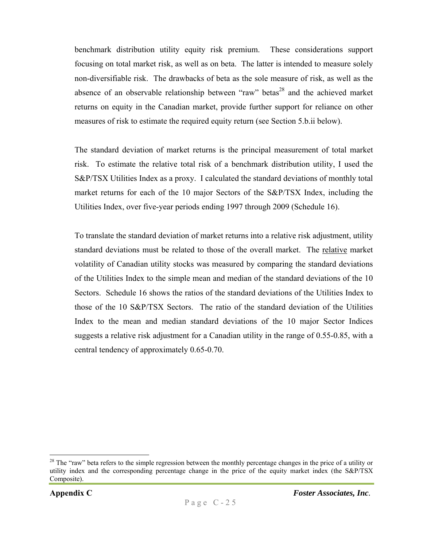benchmark distribution utility equity risk premium. These considerations support focusing on total market risk, as well as on beta. The latter is intended to measure solely non-diversifiable risk. The drawbacks of beta as the sole measure of risk, as well as the absence of an observable relationship between "raw" betas<sup>28</sup> and the achieved market returns on equity in the Canadian market, provide further support for reliance on other measures of risk to estimate the required equity return (see Section 5.b.ii below).

The standard deviation of market returns is the principal measurement of total market risk. To estimate the relative total risk of a benchmark distribution utility, I used the S&P/TSX Utilities Index as a proxy. I calculated the standard deviations of monthly total market returns for each of the 10 major Sectors of the S&P/TSX Index, including the Utilities Index, over five-year periods ending 1997 through 2009 (Schedule 16).

To translate the standard deviation of market returns into a relative risk adjustment, utility standard deviations must be related to those of the overall market. The relative market volatility of Canadian utility stocks was measured by comparing the standard deviations of the Utilities Index to the simple mean and median of the standard deviations of the 10 Sectors. Schedule 16 shows the ratios of the standard deviations of the Utilities Index to those of the 10 S&P/TSX Sectors. The ratio of the standard deviation of the Utilities Index to the mean and median standard deviations of the 10 major Sector Indices suggests a relative risk adjustment for a Canadian utility in the range of 0.55-0.85, with a central tendency of approximately 0.65-0.70.

1

<sup>&</sup>lt;sup>28</sup> The "raw" beta refers to the simple regression between the monthly percentage changes in the price of a utility or utility index and the corresponding percentage change in the price of the equity market index (the S&P/TSX Composite).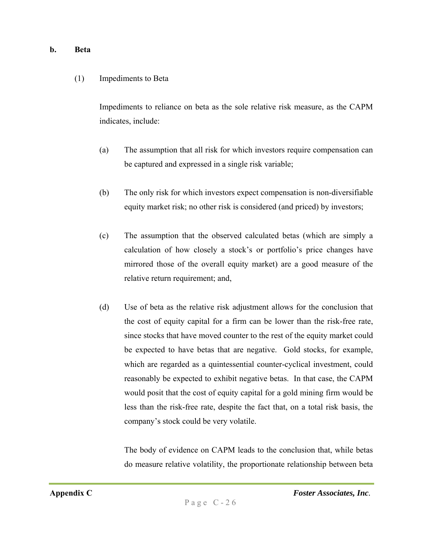#### **b. Beta**

#### (1) Impediments to Beta

Impediments to reliance on beta as the sole relative risk measure, as the CAPM indicates, include:

- (a) The assumption that all risk for which investors require compensation can be captured and expressed in a single risk variable;
- (b) The only risk for which investors expect compensation is non-diversifiable equity market risk; no other risk is considered (and priced) by investors;
- (c) The assumption that the observed calculated betas (which are simply a calculation of how closely a stock's or portfolio's price changes have mirrored those of the overall equity market) are a good measure of the relative return requirement; and,
- (d) Use of beta as the relative risk adjustment allows for the conclusion that the cost of equity capital for a firm can be lower than the risk-free rate, since stocks that have moved counter to the rest of the equity market could be expected to have betas that are negative. Gold stocks, for example, which are regarded as a quintessential counter-cyclical investment, could reasonably be expected to exhibit negative betas. In that case, the CAPM would posit that the cost of equity capital for a gold mining firm would be less than the risk-free rate, despite the fact that, on a total risk basis, the company's stock could be very volatile.

The body of evidence on CAPM leads to the conclusion that, while betas do measure relative volatility, the proportionate relationship between beta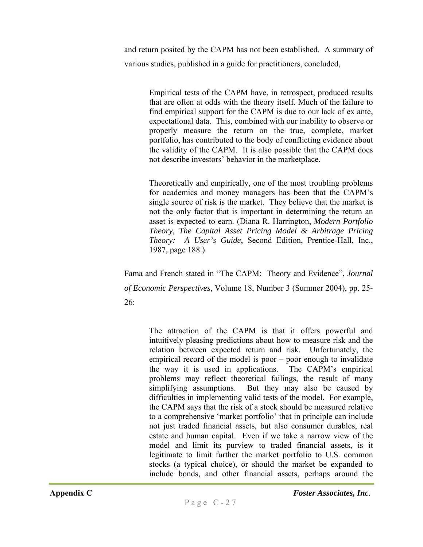and return posited by the CAPM has not been established. A summary of various studies, published in a guide for practitioners, concluded,

> Empirical tests of the CAPM have, in retrospect, produced results that are often at odds with the theory itself. Much of the failure to find empirical support for the CAPM is due to our lack of ex ante, expectational data. This, combined with our inability to observe or properly measure the return on the true, complete, market portfolio, has contributed to the body of conflicting evidence about the validity of the CAPM. It is also possible that the CAPM does not describe investors' behavior in the marketplace.

> Theoretically and empirically, one of the most troubling problems for academics and money managers has been that the CAPM's single source of risk is the market. They believe that the market is not the only factor that is important in determining the return an asset is expected to earn. (Diana R. Harrington, *Modern Portfolio Theory, The Capital Asset Pricing Model & Arbitrage Pricing Theory: A User's Guide*, Second Edition, Prentice-Hall, Inc., 1987, page 188.)

Fama and French stated in "The CAPM: Theory and Evidence", *Journal of Economic Perspectives*, Volume 18, Number 3 (Summer 2004), pp. 25- 26:

The attraction of the CAPM is that it offers powerful and intuitively pleasing predictions about how to measure risk and the relation between expected return and risk. Unfortunately, the empirical record of the model is poor – poor enough to invalidate the way it is used in applications. The CAPM's empirical problems may reflect theoretical failings, the result of many simplifying assumptions. But they may also be caused by difficulties in implementing valid tests of the model. For example, the CAPM says that the risk of a stock should be measured relative to a comprehensive 'market portfolio' that in principle can include not just traded financial assets, but also consumer durables, real estate and human capital. Even if we take a narrow view of the model and limit its purview to traded financial assets, is it legitimate to limit further the market portfolio to U.S. common stocks (a typical choice), or should the market be expanded to include bonds, and other financial assets, perhaps around the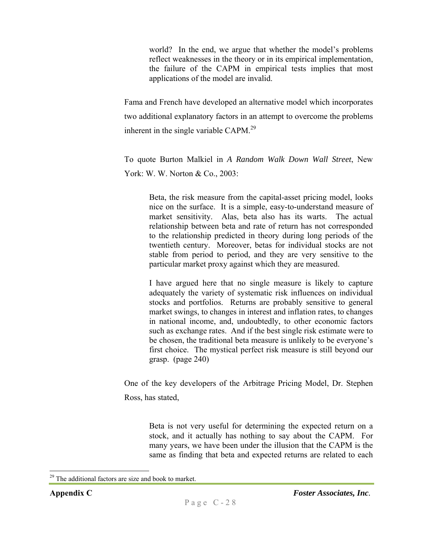world? In the end, we argue that whether the model's problems reflect weaknesses in the theory or in its empirical implementation, the failure of the CAPM in empirical tests implies that most applications of the model are invalid.

Fama and French have developed an alternative model which incorporates two additional explanatory factors in an attempt to overcome the problems inherent in the single variable CAPM.<sup>29</sup>

To quote Burton Malkiel in *A Random Walk Down Wall Street*, New York: W. W. Norton & Co., 2003:

Beta, the risk measure from the capital-asset pricing model, looks nice on the surface. It is a simple, easy-to-understand measure of market sensitivity. Alas, beta also has its warts. The actual relationship between beta and rate of return has not corresponded to the relationship predicted in theory during long periods of the twentieth century. Moreover, betas for individual stocks are not stable from period to period, and they are very sensitive to the particular market proxy against which they are measured.

I have argued here that no single measure is likely to capture adequately the variety of systematic risk influences on individual stocks and portfolios. Returns are probably sensitive to general market swings, to changes in interest and inflation rates, to changes in national income, and, undoubtedly, to other economic factors such as exchange rates. And if the best single risk estimate were to be chosen, the traditional beta measure is unlikely to be everyone's first choice. The mystical perfect risk measure is still beyond our grasp. (page 240)

One of the key developers of the Arbitrage Pricing Model, Dr. Stephen Ross, has stated,

Beta is not very useful for determining the expected return on a stock, and it actually has nothing to say about the CAPM. For many years, we have been under the illusion that the CAPM is the same as finding that beta and expected returns are related to each

<sup>&</sup>lt;sup>29</sup> The additional factors are size and book to market.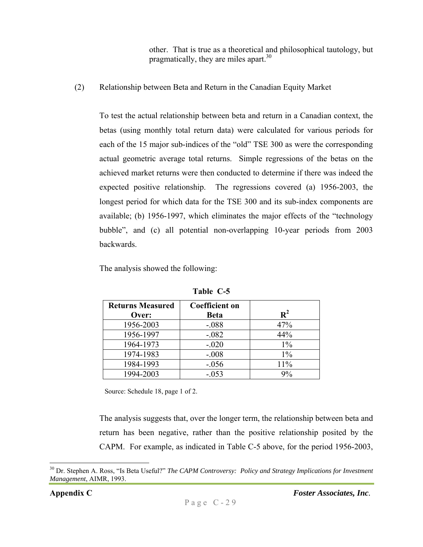other. That is true as a theoretical and philosophical tautology, but pragmatically, they are miles apart.<sup>30</sup>

(2) Relationship between Beta and Return in the Canadian Equity Market

To test the actual relationship between beta and return in a Canadian context, the betas (using monthly total return data) were calculated for various periods for each of the 15 major sub-indices of the "old" TSE 300 as were the corresponding actual geometric average total returns. Simple regressions of the betas on the achieved market returns were then conducted to determine if there was indeed the expected positive relationship. The regressions covered (a) 1956-2003, the longest period for which data for the TSE 300 and its sub-index components are available; (b) 1956-1997, which eliminates the major effects of the "technology bubble", and (c) all potential non-overlapping 10-year periods from 2003 backwards.

The analysis showed the following:

| <b>Returns Measured</b> | <b>Coefficient on</b> | $R^2$ |
|-------------------------|-----------------------|-------|
| Over:                   | <b>Beta</b>           |       |
| 1956-2003               | $-.088$               | 47%   |
| 1956-1997               | $-.082$               | 44%   |
| 1964-1973               | $-.020$               | $1\%$ |
| 1974-1983               | $-.008$               | $1\%$ |
| 1984-1993               | $-.056$               | 11%   |
| 1994-2003               | $-.053$               | $9\%$ |

**Table C-5** 

Source: Schedule 18, page 1 of 2.

The analysis suggests that, over the longer term, the relationship between beta and return has been negative, rather than the positive relationship posited by the CAPM. For example, as indicated in Table C-5 above, for the period 1956-2003,

 $\overline{a}$ <sup>30</sup> Dr. Stephen A. Ross, "Is Beta Useful?" *The CAPM Controversy: Policy and Strategy Implications for Investment Management*, AIMR, 1993.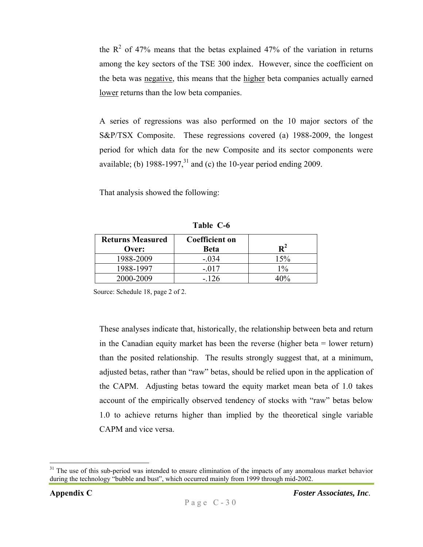the  $R<sup>2</sup>$  of 47% means that the betas explained 47% of the variation in returns among the key sectors of the TSE 300 index. However, since the coefficient on the beta was negative, this means that the higher beta companies actually earned lower returns than the low beta companies.

A series of regressions was also performed on the 10 major sectors of the S&P/TSX Composite. These regressions covered (a) 1988-2009, the longest period for which data for the new Composite and its sector components were available; (b)  $1988-1997<sup>31</sup>$  and (c) the 10-year period ending 2009.

That analysis showed the following:

| <b>Returns Measured</b><br>Over: | <b>Coefficient on</b><br><b>Beta</b> | ${\bf R}^2$ |
|----------------------------------|--------------------------------------|-------------|
| 1988-2009                        | $-.034$                              | 15%         |
| 1988-1997                        | - 017                                | $1\%$       |
| 2000-2009                        | $-126$                               | 10%         |

**Table C-6** 

Source: Schedule 18, page 2 of 2.

These analyses indicate that, historically, the relationship between beta and return in the Canadian equity market has been the reverse (higher beta = lower return) than the posited relationship. The results strongly suggest that, at a minimum, adjusted betas, rather than "raw" betas, should be relied upon in the application of the CAPM. Adjusting betas toward the equity market mean beta of 1.0 takes account of the empirically observed tendency of stocks with "raw" betas below 1.0 to achieve returns higher than implied by the theoretical single variable CAPM and vice versa.

 $31$  The use of this sub-period was intended to ensure elimination of the impacts of any anomalous market behavior during the technology "bubble and bust", which occurred mainly from 1999 through mid-2002.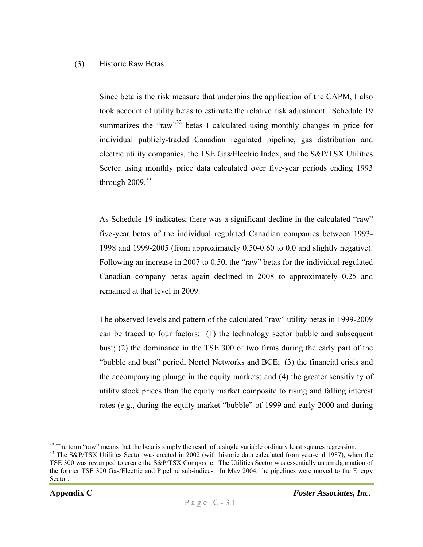#### (3) Historic Raw Betas

Since beta is the risk measure that underpins the application of the CAPM, I also took account of utility betas to estimate the relative risk adjustment. Schedule 19 summarizes the "raw"<sup>32</sup> betas I calculated using monthly changes in price for individual publicly-traded Canadian regulated pipeline, gas distribution and electric utility companies, the TSE Gas/Electric Index, and the S&P/TSX Utilities Sector using monthly price data calculated over five-year periods ending 1993 through  $2009.<sup>33</sup>$ 

As Schedule 19 indicates, there was a significant decline in the calculated "raw" five-year betas of the individual regulated Canadian companies between 1993- 1998 and 1999-2005 (from approximately 0.50-0.60 to 0.0 and slightly negative). Following an increase in 2007 to 0.50, the "raw" betas for the individual regulated Canadian company betas again declined in 2008 to approximately 0.25 and remained at that level in 2009.

The observed levels and pattern of the calculated "raw" utility betas in 1999-2009 can be traced to four factors: (1) the technology sector bubble and subsequent bust; (2) the dominance in the TSE 300 of two firms during the early part of the "bubble and bust" period, Nortel Networks and BCE; (3) the financial crisis and the accompanying plunge in the equity markets; and (4) the greater sensitivity of utility stock prices than the equity market composite to rising and falling interest rates (e.g., during the equity market "bubble" of 1999 and early 2000 and during

 $\overline{a}$  $32$  The term "raw" means that the beta is simply the result of a single variable ordinary least squares regression.<br> $33$  The S&P/TSX Utilities Sector was created in 2002 (with historic data calculated from year-end 1987)

TSE 300 was revamped to create the S&P/TSX Composite. The Utilities Sector was essentially an amalgamation of the former TSE 300 Gas/Electric and Pipeline sub-indices. In May 2004, the pipelines were moved to the Energy Sector.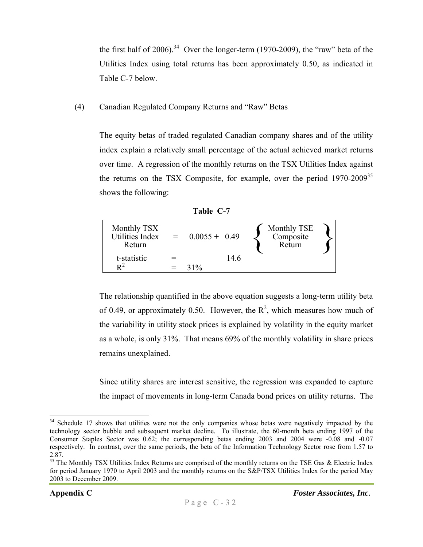the first half of 2006).<sup>34</sup> Over the longer-term (1970-2009), the "raw" beta of the Utilities Index using total returns has been approximately 0.50, as indicated in Table C-7 below.

(4) Canadian Regulated Company Returns and "Raw" Betas

The equity betas of traded regulated Canadian company shares and of the utility index explain a relatively small percentage of the actual achieved market returns over time. A regression of the monthly returns on the TSX Utilities Index against the returns on the TSX Composite, for example, over the period  $1970-2009^{35}$ shows the following:

| Table |  |
|-------|--|
|       |  |

| Monthly TSX<br>Utilities Index<br>Return | $= 0.0055 + 0.49$ |      | <b>Monthly TSE</b><br>Composite<br>Return |  |
|------------------------------------------|-------------------|------|-------------------------------------------|--|
| t-statistic                              |                   | 14.6 |                                           |  |
| $\mathbf{D}^2$                           | $31\%$            |      |                                           |  |

The relationship quantified in the above equation suggests a long-term utility beta of 0.49, or approximately 0.50. However, the  $R^2$ , which measures how much of the variability in utility stock prices is explained by volatility in the equity market as a whole, is only 31%. That means 69% of the monthly volatility in share prices remains unexplained.

Since utility shares are interest sensitive, the regression was expanded to capture the impact of movements in long-term Canada bond prices on utility returns. The

 $\overline{a}$ <sup>34</sup> Schedule 17 shows that utilities were not the only companies whose betas were negatively impacted by the technology sector bubble and subsequent market decline. To illustrate, the 60-month beta ending 1997 of the Consumer Staples Sector was 0.62; the corresponding betas ending 2003 and 2004 were -0.08 and -0.07 respectively. In contrast, over the same periods, the beta of the Information Technology Sector rose from 1.57 to 2.87.

<sup>&</sup>lt;sup>35</sup> The Monthly TSX Utilities Index Returns are comprised of the monthly returns on the TSE Gas & Electric Index for period January 1970 to April 2003 and the monthly returns on the S&P/TSX Utilities Index for the period May 2003 to December 2009.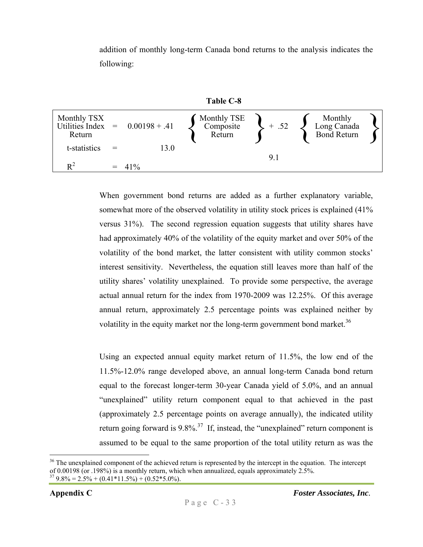addition of monthly long-term Canada bond returns to the analysis indicates the following:



When government bond returns are added as a further explanatory variable, somewhat more of the observed volatility in utility stock prices is explained (41% versus 31%). The second regression equation suggests that utility shares have had approximately 40% of the volatility of the equity market and over 50% of the volatility of the bond market, the latter consistent with utility common stocks' interest sensitivity. Nevertheless, the equation still leaves more than half of the utility shares' volatility unexplained. To provide some perspective, the average actual annual return for the index from 1970-2009 was 12.25%. Of this average annual return, approximately 2.5 percentage points was explained neither by volatility in the equity market nor the long-term government bond market.<sup>36</sup>

Using an expected annual equity market return of 11.5%, the low end of the 11.5%-12.0% range developed above, an annual long-term Canada bond return equal to the forecast longer-term 30-year Canada yield of 5.0%, and an annual "unexplained" utility return component equal to that achieved in the past (approximately 2.5 percentage points on average annually), the indicated utility return going forward is  $9.8\%$ <sup>37</sup> If, instead, the "unexplained" return component is assumed to be equal to the same proportion of the total utility return as was the

<sup>&</sup>lt;sup>36</sup> The unexplained component of the achieved return is represented by the intercept in the equation. The intercept of 0.00198 (or .198%) is a monthly return, which when annualized, equals approximately 2.5%.  $37$  9.8% = 2.5% + (0.41\*11.5%) + (0.52\*5.0%).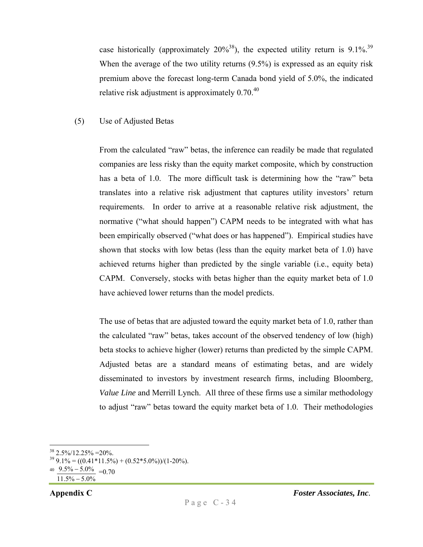case historically (approximately  $20\%^{38}$ ), the expected utility return is 9.1%.<sup>39</sup> When the average of the two utility returns (9.5%) is expressed as an equity risk premium above the forecast long-term Canada bond yield of 5.0%, the indicated relative risk adjustment is approximately  $0.70^{40}$ 

#### (5) Use of Adjusted Betas

From the calculated "raw" betas, the inference can readily be made that regulated companies are less risky than the equity market composite, which by construction has a beta of 1.0. The more difficult task is determining how the "raw" beta translates into a relative risk adjustment that captures utility investors' return requirements. In order to arrive at a reasonable relative risk adjustment, the normative ("what should happen") CAPM needs to be integrated with what has been empirically observed ("what does or has happened"). Empirical studies have shown that stocks with low betas (less than the equity market beta of 1.0) have achieved returns higher than predicted by the single variable (i.e., equity beta) CAPM. Conversely, stocks with betas higher than the equity market beta of 1.0 have achieved lower returns than the model predicts.

The use of betas that are adjusted toward the equity market beta of 1.0, rather than the calculated "raw" betas, takes account of the observed tendency of low (high) beta stocks to achieve higher (lower) returns than predicted by the simple CAPM. Adjusted betas are a standard means of estimating betas, and are widely disseminated to investors by investment research firms, including Bloomberg, *Value Line* and Merrill Lynch. All three of these firms use a similar methodology to adjust "raw" betas toward the equity market beta of 1.0. Their methodologies

 $38\ 2.5\%/12.25\% = 20\%.$ 

 $399.1\% = ((0.41*11.5\%) + (0.52*5.0\%))/(1-20\%).$ 

 $40 \frac{9.5\% - 5.0\%}{ } = 0.70$ 

 $11.5\% - 5.0\%$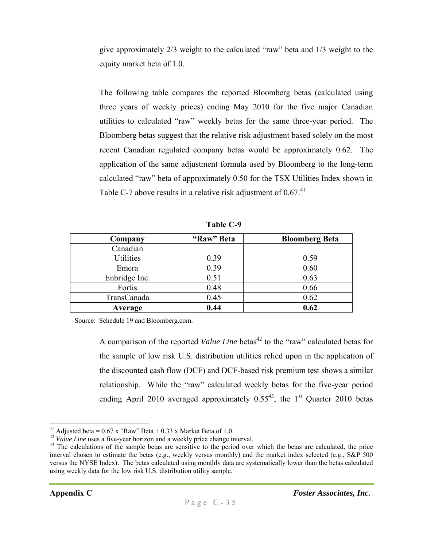give approximately 2/3 weight to the calculated "raw" beta and 1/3 weight to the equity market beta of 1.0.

The following table compares the reported Bloomberg betas (calculated using three years of weekly prices) ending May 2010 for the five major Canadian utilities to calculated "raw" weekly betas for the same three-year period. The Bloomberg betas suggest that the relative risk adjustment based solely on the most recent Canadian regulated company betas would be approximately 0.62. The application of the same adjustment formula used by Bloomberg to the long-term calculated "raw" beta of approximately 0.50 for the TSX Utilities Index shown in Table C-7 above results in a relative risk adjustment of  $0.67<sup>41</sup>$ 

| Company       | "Raw" Beta | <b>Bloomberg Beta</b> |
|---------------|------------|-----------------------|
| Canadian      |            |                       |
| Utilities     | 0.39       | 0.59                  |
| Emera         | 0.39       | 0.60                  |
| Enbridge Inc. | 0.51       | 0.63                  |
| Fortis        | 0.48       | 0.66                  |
| TransCanada   | 0.45       | 0.62                  |
| Average       | 0.44       | 0.62                  |

**Table C-9** 

Source: Schedule 19 and Bloomberg.com.

A comparison of the reported *Value Line* betas<sup>42</sup> to the "raw" calculated betas for the sample of low risk U.S. distribution utilities relied upon in the application of the discounted cash flow (DCF) and DCF-based risk premium test shows a similar relationship. While the "raw" calculated weekly betas for the five-year period ending April 2010 averaged approximately  $0.55^{43}$ , the 1<sup>st</sup> Quarter 2010 betas

<sup>&</sup>lt;sup>41</sup> Adjusted beta =  $0.67$  x "Raw" Beta +  $0.33$  x Market Beta of 1.0.<br><sup>42</sup> Value Line uses a five-year horizon and a weekly price change interval.

<sup>&</sup>lt;sup>43</sup> The calculations of the sample betas are sensitive to the period over which the betas are calculated, the price interval chosen to estimate the betas (e.g., weekly versus monthly) and the market index selected (e.g., S&P 500 versus the NYSE Index). The betas calculated using monthly data are systematically lower than the betas calculated using weekly data for the low risk U.S. distribution utility sample.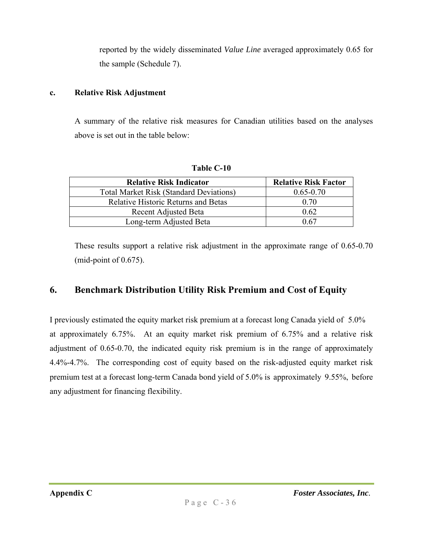reported by the widely disseminated *Value Line* averaged approximately 0.65 for the sample (Schedule 7).

#### **c. Relative Risk Adjustment**

A summary of the relative risk measures for Canadian utilities based on the analyses above is set out in the table below:

| <b>Relative Risk Indicator</b>                 | <b>Relative Risk Factor</b> |
|------------------------------------------------|-----------------------------|
| <b>Total Market Risk (Standard Deviations)</b> | $0.65 - 0.70$               |
| <b>Relative Historic Returns and Betas</b>     | 0.70                        |
| Recent Adjusted Beta                           | 0.62                        |
| Long-term Adjusted Beta                        | በ 67                        |

**Table C-10** 

These results support a relative risk adjustment in the approximate range of 0.65-0.70 (mid-point of 0.675).

# **6. Benchmark Distribution Utility Risk Premium and Cost of Equity**

I previously estimated the equity market risk premium at a forecast long Canada yield of 5.0% at approximately 6.75%. At an equity market risk premium of 6.75% and a relative risk adjustment of 0.65-0.70, the indicated equity risk premium is in the range of approximately 4.4%-4.7%. The corresponding cost of equity based on the risk-adjusted equity market risk premium test at a forecast long-term Canada bond yield of 5.0% is approximately 9.55%, before any adjustment for financing flexibility.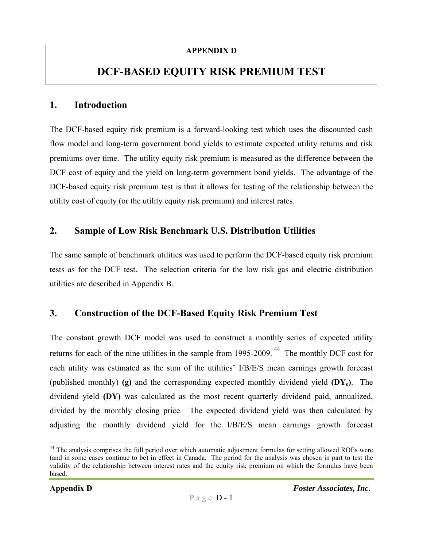#### **APPENDIX D**

# **DCF-BASED EQUITY RISK PREMIUM TEST**

#### **1. Introduction**

The DCF-based equity risk premium is a forward-looking test which uses the discounted cash flow model and long-term government bond yields to estimate expected utility returns and risk premiums over time. The utility equity risk premium is measured as the difference between the DCF cost of equity and the yield on long-term government bond yields. The advantage of the DCF-based equity risk premium test is that it allows for testing of the relationship between the utility cost of equity (or the utility equity risk premium) and interest rates.

### **2. Sample of Low Risk Benchmark U.S. Distribution Utilities**

The same sample of benchmark utilities was used to perform the DCF-based equity risk premium tests as for the DCF test. The selection criteria for the low risk gas and electric distribution utilities are described in Appendix B.

### **3. Construction of the DCF-Based Equity Risk Premium Test**

The constant growth DCF model was used to construct a monthly series of expected utility returns for each of the nine utilities in the sample from 1995-2009.<sup>44</sup> The monthly DCF cost for each utility was estimated as the sum of the utilities' I/B/E/S mean earnings growth forecast (published monthly) **(g)** and the corresponding expected monthly dividend yield **(DYe)**. The dividend yield **(DY)** was calculated as the most recent quarterly dividend paid, annualized, divided by the monthly closing price. The expected dividend yield was then calculated by adjusting the monthly dividend yield for the I/B/E/S mean earnings growth forecast

<sup>&</sup>lt;sup>44</sup> The analysis comprises the full period over which automatic adjustment formulas for setting allowed ROEs were (and in some cases continue to be) in effect in Canada. The period for the analysis was chosen in part to test the validity of the relationship between interest rates and the equity risk premium on which the formulas have been based.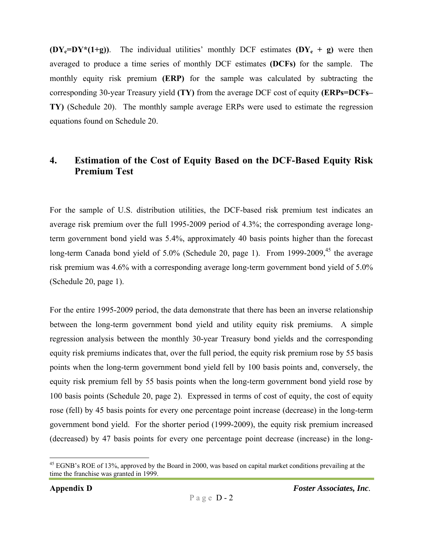$(DY_e=DY^*(1+g))$ . The individual utilities' monthly DCF estimates  $(DY_e + g)$  were then averaged to produce a time series of monthly DCF estimates **(DCFs)** for the sample. The monthly equity risk premium **(ERP)** for the sample was calculated by subtracting the corresponding 30-year Treasury yield **(TY)** from the average DCF cost of equity **(ERPs=DCFs– TY)** (Schedule 20). The monthly sample average ERPs were used to estimate the regression equations found on Schedule 20.

# **4. Estimation of the Cost of Equity Based on the DCF-Based Equity Risk Premium Test**

For the sample of U.S. distribution utilities, the DCF-based risk premium test indicates an average risk premium over the full 1995-2009 period of 4.3%; the corresponding average longterm government bond yield was 5.4%, approximately 40 basis points higher than the forecast long-term Canada bond yield of  $5.0\%$  (Schedule 20, page 1). From 1999-2009,<sup>45</sup> the average risk premium was 4.6% with a corresponding average long-term government bond yield of 5.0% (Schedule 20, page 1).

For the entire 1995-2009 period, the data demonstrate that there has been an inverse relationship between the long-term government bond yield and utility equity risk premiums. A simple regression analysis between the monthly 30-year Treasury bond yields and the corresponding equity risk premiums indicates that, over the full period, the equity risk premium rose by 55 basis points when the long-term government bond yield fell by 100 basis points and, conversely, the equity risk premium fell by 55 basis points when the long-term government bond yield rose by 100 basis points (Schedule 20, page 2). Expressed in terms of cost of equity, the cost of equity rose (fell) by 45 basis points for every one percentage point increase (decrease) in the long-term government bond yield. For the shorter period (1999-2009), the equity risk premium increased (decreased) by 47 basis points for every one percentage point decrease (increase) in the long-

 $^{45}$  EGNB's ROE of 13%, approved by the Board in 2000, was based on capital market conditions prevailing at the time the franchise was granted in 1999.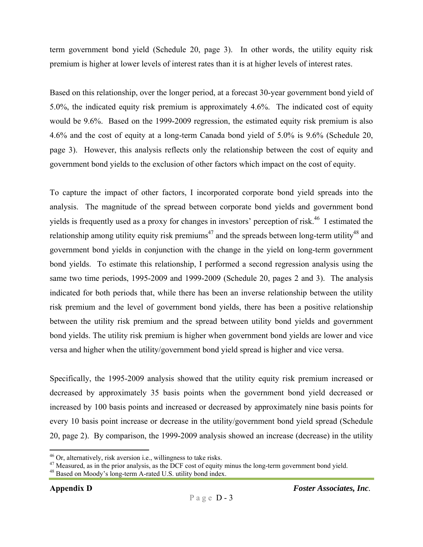term government bond yield (Schedule 20, page 3). In other words, the utility equity risk premium is higher at lower levels of interest rates than it is at higher levels of interest rates.

Based on this relationship, over the longer period, at a forecast 30-year government bond yield of 5.0%, the indicated equity risk premium is approximately 4.6%. The indicated cost of equity would be 9.6%. Based on the 1999-2009 regression, the estimated equity risk premium is also 4.6% and the cost of equity at a long-term Canada bond yield of 5.0% is 9.6% (Schedule 20, page 3). However, this analysis reflects only the relationship between the cost of equity and government bond yields to the exclusion of other factors which impact on the cost of equity.

To capture the impact of other factors, I incorporated corporate bond yield spreads into the analysis. The magnitude of the spread between corporate bond yields and government bond yields is frequently used as a proxy for changes in investors' perception of risk.<sup>46</sup> I estimated the relationship among utility equity risk premiums<sup>47</sup> and the spreads between long-term utility<sup>48</sup> and government bond yields in conjunction with the change in the yield on long-term government bond yields. To estimate this relationship, I performed a second regression analysis using the same two time periods, 1995-2009 and 1999-2009 (Schedule 20, pages 2 and 3). The analysis indicated for both periods that, while there has been an inverse relationship between the utility risk premium and the level of government bond yields, there has been a positive relationship between the utility risk premium and the spread between utility bond yields and government bond yields. The utility risk premium is higher when government bond yields are lower and vice versa and higher when the utility/government bond yield spread is higher and vice versa.

Specifically, the 1995-2009 analysis showed that the utility equity risk premium increased or decreased by approximately 35 basis points when the government bond yield decreased or increased by 100 basis points and increased or decreased by approximately nine basis points for every 10 basis point increase or decrease in the utility/government bond yield spread (Schedule 20, page 2). By comparison, the 1999-2009 analysis showed an increase (decrease) in the utility

<u>.</u>

 $46$  Or, alternatively, risk aversion i.e., willingness to take risks.

<sup>&</sup>lt;sup>47</sup> Measured, as in the prior analysis, as the DCF cost of equity minus the long-term government bond yield.

<sup>&</sup>lt;sup>48</sup> Based on Moody's long-term A-rated U.S. utility bond index.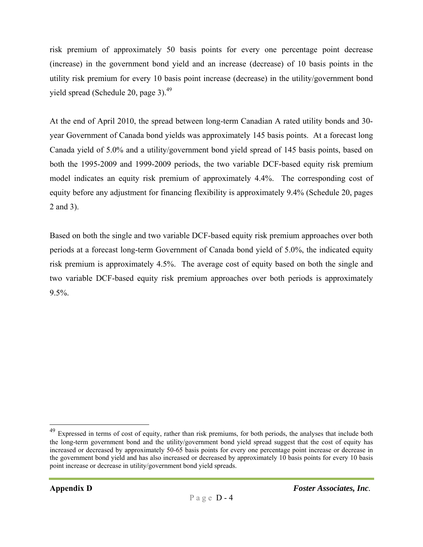risk premium of approximately 50 basis points for every one percentage point decrease (increase) in the government bond yield and an increase (decrease) of 10 basis points in the utility risk premium for every 10 basis point increase (decrease) in the utility/government bond yield spread (Schedule 20, page 3).49

At the end of April 2010, the spread between long-term Canadian A rated utility bonds and 30 year Government of Canada bond yields was approximately 145 basis points. At a forecast long Canada yield of 5.0% and a utility/government bond yield spread of 145 basis points, based on both the 1995-2009 and 1999-2009 periods, the two variable DCF-based equity risk premium model indicates an equity risk premium of approximately 4.4%. The corresponding cost of equity before any adjustment for financing flexibility is approximately 9.4% (Schedule 20, pages 2 and 3).

Based on both the single and two variable DCF-based equity risk premium approaches over both periods at a forecast long-term Government of Canada bond yield of 5.0%, the indicated equity risk premium is approximately 4.5%. The average cost of equity based on both the single and two variable DCF-based equity risk premium approaches over both periods is approximately 9.5%.

 $^{49}$  Expressed in terms of cost of equity, rather than risk premiums, for both periods, the analyses that include both the long-term government bond and the utility/government bond yield spread suggest that the cost of equity has increased or decreased by approximately 50-65 basis points for every one percentage point increase or decrease in the government bond yield and has also increased or decreased by approximately 10 basis points for every 10 basis point increase or decrease in utility/government bond yield spreads.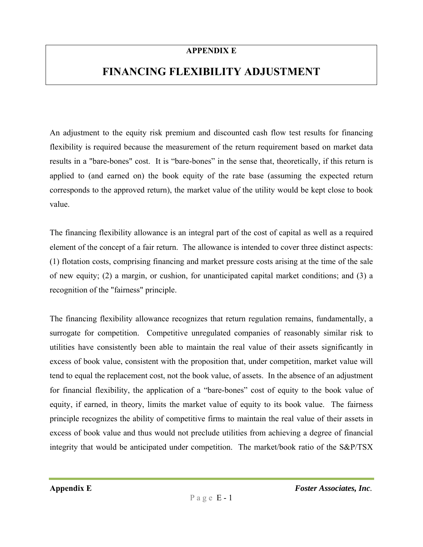#### **APPENDIX E**

# **FINANCING FLEXIBILITY ADJUSTMENT**

An adjustment to the equity risk premium and discounted cash flow test results for financing flexibility is required because the measurement of the return requirement based on market data results in a "bare-bones" cost. It is "bare-bones" in the sense that, theoretically, if this return is applied to (and earned on) the book equity of the rate base (assuming the expected return corresponds to the approved return), the market value of the utility would be kept close to book value.

The financing flexibility allowance is an integral part of the cost of capital as well as a required element of the concept of a fair return. The allowance is intended to cover three distinct aspects: (1) flotation costs, comprising financing and market pressure costs arising at the time of the sale of new equity; (2) a margin, or cushion, for unanticipated capital market conditions; and (3) a recognition of the "fairness" principle.

The financing flexibility allowance recognizes that return regulation remains, fundamentally, a surrogate for competition. Competitive unregulated companies of reasonably similar risk to utilities have consistently been able to maintain the real value of their assets significantly in excess of book value, consistent with the proposition that, under competition, market value will tend to equal the replacement cost, not the book value, of assets. In the absence of an adjustment for financial flexibility, the application of a "bare-bones" cost of equity to the book value of equity, if earned, in theory, limits the market value of equity to its book value. The fairness principle recognizes the ability of competitive firms to maintain the real value of their assets in excess of book value and thus would not preclude utilities from achieving a degree of financial integrity that would be anticipated under competition. The market/book ratio of the S&P/TSX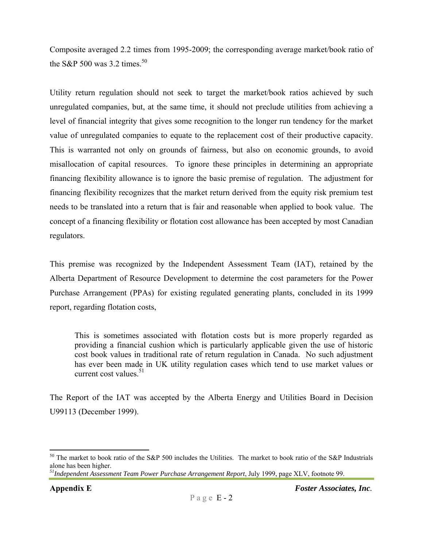Composite averaged 2.2 times from 1995-2009; the corresponding average market/book ratio of the S&P 500 was 3.2 times.<sup>50</sup>

Utility return regulation should not seek to target the market/book ratios achieved by such unregulated companies, but, at the same time, it should not preclude utilities from achieving a level of financial integrity that gives some recognition to the longer run tendency for the market value of unregulated companies to equate to the replacement cost of their productive capacity. This is warranted not only on grounds of fairness, but also on economic grounds, to avoid misallocation of capital resources. To ignore these principles in determining an appropriate financing flexibility allowance is to ignore the basic premise of regulation. The adjustment for financing flexibility recognizes that the market return derived from the equity risk premium test needs to be translated into a return that is fair and reasonable when applied to book value.The concept of a financing flexibility or flotation cost allowance has been accepted by most Canadian regulators.

This premise was recognized by the Independent Assessment Team (IAT), retained by the Alberta Department of Resource Development to determine the cost parameters for the Power Purchase Arrangement (PPAs) for existing regulated generating plants, concluded in its 1999 report, regarding flotation costs,

This is sometimes associated with flotation costs but is more properly regarded as providing a financial cushion which is particularly applicable given the use of historic cost book values in traditional rate of return regulation in Canada. No such adjustment has ever been made in UK utility regulation cases which tend to use market values or current cost values. $51$ 

The Report of the IAT was accepted by the Alberta Energy and Utilities Board in Decision U99113 (December 1999).

 $50$  The market to book ratio of the S&P 500 includes the Utilities. The market to book ratio of the S&P Industrials alone has been higher.

*<sup>51</sup>Independent Assessment Team Power Purchase Arrangement Report*, July 1999, page XLV, footnote 99.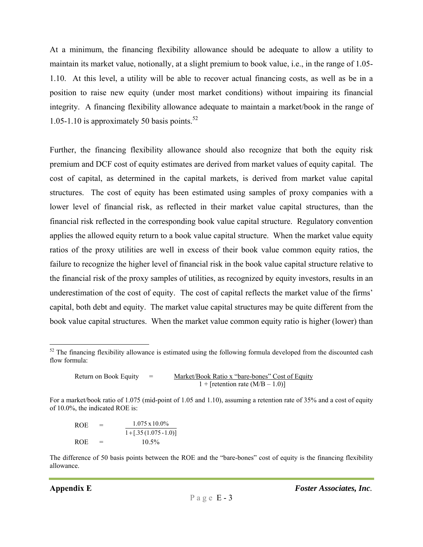At a minimum, the financing flexibility allowance should be adequate to allow a utility to maintain its market value, notionally, at a slight premium to book value, i.e., in the range of 1.05- 1.10. At this level, a utility will be able to recover actual financing costs, as well as be in a position to raise new equity (under most market conditions) without impairing its financial integrity. A financing flexibility allowance adequate to maintain a market/book in the range of 1.05-1.10 is approximately 50 basis points. $52$ 

Further, the financing flexibility allowance should also recognize that both the equity risk premium and DCF cost of equity estimates are derived from market values of equity capital. The cost of capital, as determined in the capital markets, is derived from market value capital structures. The cost of equity has been estimated using samples of proxy companies with a lower level of financial risk, as reflected in their market value capital structures, than the financial risk reflected in the corresponding book value capital structure. Regulatory convention applies the allowed equity return to a book value capital structure. When the market value equity ratios of the proxy utilities are well in excess of their book value common equity ratios, the failure to recognize the higher level of financial risk in the book value capital structure relative to the financial risk of the proxy samples of utilities, as recognized by equity investors, results in an underestimation of the cost of equity. The cost of capital reflects the market value of the firms' capital, both debt and equity. The market value capital structures may be quite different from the book value capital structures. When the market value common equity ratio is higher (lower) than

Return on Book Equity = Market/Book Ratio x "bare-bones" Cost of Equity  $1 +$  [retention rate  $(M/B - 1.0)$ ]

For a market/book ratio of 1.075 (mid-point of 1.05 and 1.10), assuming a retention rate of 35% and a cost of equity of 10.0%, the indicated ROE is:

| ROE. | $=$ | $1.075 \times 10.0\%$    |
|------|-----|--------------------------|
|      |     | $1 + [.35(1.075 - 1.0)]$ |
| ROE  | $=$ | $10.5\%$                 |

The difference of 50 basis points between the ROE and the "bare-bones" cost of equity is the financing flexibility allowance.

<sup>&</sup>lt;sup>52</sup> The financing flexibility allowance is estimated using the following formula developed from the discounted cash flow formula: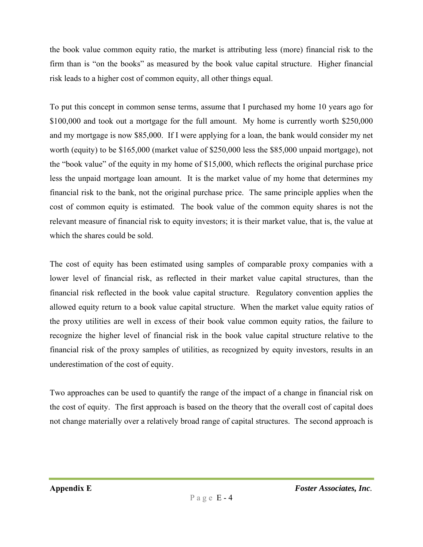the book value common equity ratio, the market is attributing less (more) financial risk to the firm than is "on the books" as measured by the book value capital structure. Higher financial risk leads to a higher cost of common equity, all other things equal.

To put this concept in common sense terms, assume that I purchased my home 10 years ago for \$100,000 and took out a mortgage for the full amount. My home is currently worth \$250,000 and my mortgage is now \$85,000. If I were applying for a loan, the bank would consider my net worth (equity) to be \$165,000 (market value of \$250,000 less the \$85,000 unpaid mortgage), not the "book value" of the equity in my home of \$15,000, which reflects the original purchase price less the unpaid mortgage loan amount. It is the market value of my home that determines my financial risk to the bank, not the original purchase price. The same principle applies when the cost of common equity is estimated. The book value of the common equity shares is not the relevant measure of financial risk to equity investors; it is their market value, that is, the value at which the shares could be sold.

The cost of equity has been estimated using samples of comparable proxy companies with a lower level of financial risk, as reflected in their market value capital structures, than the financial risk reflected in the book value capital structure. Regulatory convention applies the allowed equity return to a book value capital structure. When the market value equity ratios of the proxy utilities are well in excess of their book value common equity ratios, the failure to recognize the higher level of financial risk in the book value capital structure relative to the financial risk of the proxy samples of utilities, as recognized by equity investors, results in an underestimation of the cost of equity.

Two approaches can be used to quantify the range of the impact of a change in financial risk on the cost of equity. The first approach is based on the theory that the overall cost of capital does not change materially over a relatively broad range of capital structures. The second approach is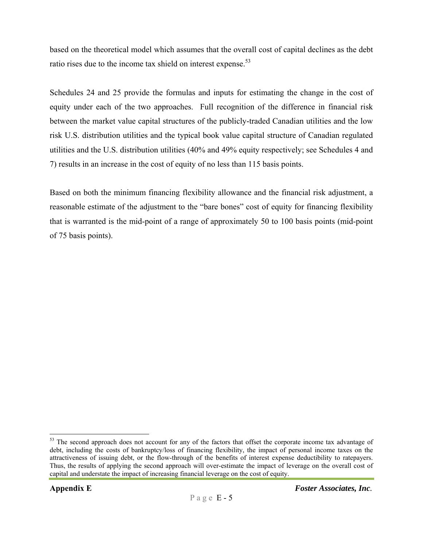based on the theoretical model which assumes that the overall cost of capital declines as the debt ratio rises due to the income tax shield on interest expense.<sup>53</sup>

Schedules 24 and 25 provide the formulas and inputs for estimating the change in the cost of equity under each of the two approaches. Full recognition of the difference in financial risk between the market value capital structures of the publicly-traded Canadian utilities and the low risk U.S. distribution utilities and the typical book value capital structure of Canadian regulated utilities and the U.S. distribution utilities (40% and 49% equity respectively; see Schedules 4 and 7) results in an increase in the cost of equity of no less than 115 basis points.

Based on both the minimum financing flexibility allowance and the financial risk adjustment, a reasonable estimate of the adjustment to the "bare bones" cost of equity for financing flexibility that is warranted is the mid-point of a range of approximately 50 to 100 basis points (mid-point of 75 basis points).

<sup>&</sup>lt;sup>53</sup> The second approach does not account for any of the factors that offset the corporate income tax advantage of debt, including the costs of bankruptcy/loss of financing flexibility, the impact of personal income taxes on the attractiveness of issuing debt, or the flow-through of the benefits of interest expense deductibility to ratepayers. Thus, the results of applying the second approach will over-estimate the impact of leverage on the overall cost of capital and understate the impact of increasing financial leverage on the cost of equity.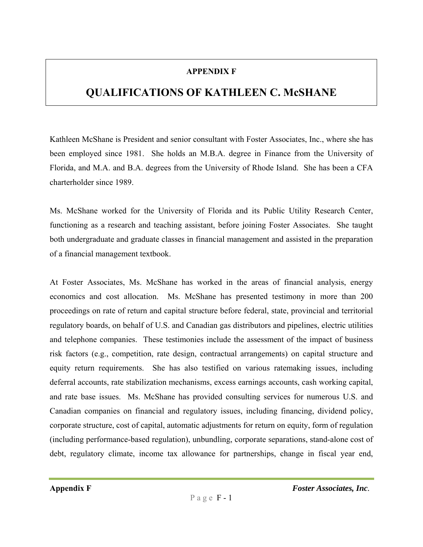#### **APPENDIX F**

# **QUALIFICATIONS OF KATHLEEN C. McSHANE**

Kathleen McShane is President and senior consultant with Foster Associates, Inc., where she has been employed since 1981. She holds an M.B.A. degree in Finance from the University of Florida, and M.A. and B.A. degrees from the University of Rhode Island. She has been a CFA charterholder since 1989.

Ms. McShane worked for the University of Florida and its Public Utility Research Center, functioning as a research and teaching assistant, before joining Foster Associates. She taught both undergraduate and graduate classes in financial management and assisted in the preparation of a financial management textbook.

At Foster Associates, Ms. McShane has worked in the areas of financial analysis, energy economics and cost allocation. Ms. McShane has presented testimony in more than 200 proceedings on rate of return and capital structure before federal, state, provincial and territorial regulatory boards, on behalf of U.S. and Canadian gas distributors and pipelines, electric utilities and telephone companies. These testimonies include the assessment of the impact of business risk factors (e.g., competition, rate design, contractual arrangements) on capital structure and equity return requirements. She has also testified on various ratemaking issues, including deferral accounts, rate stabilization mechanisms, excess earnings accounts, cash working capital, and rate base issues. Ms. McShane has provided consulting services for numerous U.S. and Canadian companies on financial and regulatory issues, including financing, dividend policy, corporate structure, cost of capital, automatic adjustments for return on equity, form of regulation (including performance-based regulation), unbundling, corporate separations, stand-alone cost of debt, regulatory climate, income tax allowance for partnerships, change in fiscal year end,

**Appendix F** *Foster Associates, Inc.*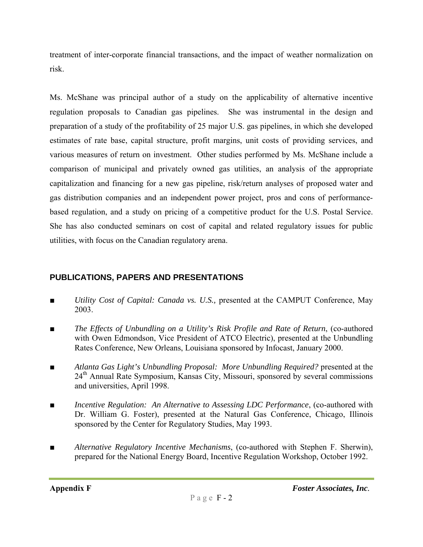treatment of inter-corporate financial transactions, and the impact of weather normalization on risk.

Ms. McShane was principal author of a study on the applicability of alternative incentive regulation proposals to Canadian gas pipelines. She was instrumental in the design and preparation of a study of the profitability of 25 major U.S. gas pipelines, in which she developed estimates of rate base, capital structure, profit margins, unit costs of providing services, and various measures of return on investment. Other studies performed by Ms. McShane include a comparison of municipal and privately owned gas utilities, an analysis of the appropriate capitalization and financing for a new gas pipeline, risk/return analyses of proposed water and gas distribution companies and an independent power project, pros and cons of performancebased regulation, and a study on pricing of a competitive product for the U.S. Postal Service. She has also conducted seminars on cost of capital and related regulatory issues for public utilities, with focus on the Canadian regulatory arena.

## **PUBLICATIONS, PAPERS AND PRESENTATIONS**

- *Utility Cost of Capital: Canada vs. U.S.*, presented at the CAMPUT Conference, May 2003.
- *The Effects of Unbundling on a Utility's Risk Profile and Rate of Return*, (co-authored with Owen Edmondson, Vice President of ATCO Electric), presented at the Unbundling Rates Conference, New Orleans, Louisiana sponsored by Infocast, January 2000.
- *Atlanta Gas Light's Unbundling Proposal: More Unbundling Required?* presented at the 24<sup>th</sup> Annual Rate Symposium, Kansas City, Missouri, sponsored by several commissions and universities, April 1998.
- *Incentive Regulation: An Alternative to Assessing LDC Performance*, (co-authored with Dr. William G. Foster), presented at the Natural Gas Conference, Chicago, Illinois sponsored by the Center for Regulatory Studies, May 1993.
- *Alternative Regulatory Incentive Mechanisms*, (co-authored with Stephen F. Sherwin), prepared for the National Energy Board, Incentive Regulation Workshop, October 1992.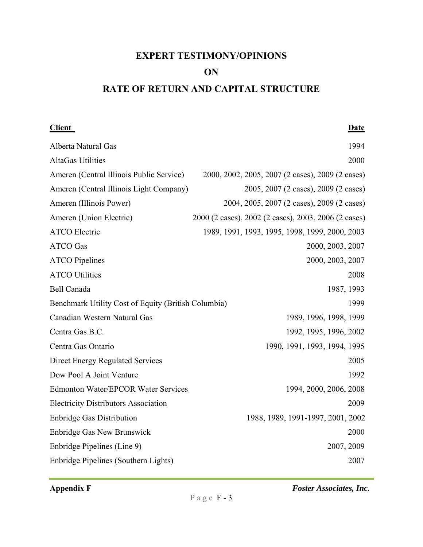# **EXPERT TESTIMONY/OPINIONS**

#### **ON**

# **RATE OF RETURN AND CAPITAL STRUCTURE**

**Client** Date

| Alberta Natural Gas                                 | 1994                                                 |
|-----------------------------------------------------|------------------------------------------------------|
| <b>AltaGas Utilities</b>                            | 2000                                                 |
| Ameren (Central Illinois Public Service)            | 2000, 2002, 2005, 2007 (2 cases), 2009 (2 cases)     |
| Ameren (Central Illinois Light Company)             | 2005, 2007 (2 cases), 2009 (2 cases)                 |
| Ameren (Illinois Power)                             | 2004, 2005, 2007 (2 cases), 2009 (2 cases)           |
| Ameren (Union Electric)                             | 2000 (2 cases), 2002 (2 cases), 2003, 2006 (2 cases) |
| <b>ATCO Electric</b>                                | 1989, 1991, 1993, 1995, 1998, 1999, 2000, 2003       |
| <b>ATCO</b> Gas                                     | 2000, 2003, 2007                                     |
| <b>ATCO Pipelines</b>                               | 2000, 2003, 2007                                     |
| <b>ATCO Utilities</b>                               | 2008                                                 |
| <b>Bell Canada</b>                                  | 1987, 1993                                           |
| Benchmark Utility Cost of Equity (British Columbia) | 1999                                                 |
| Canadian Western Natural Gas                        | 1989, 1996, 1998, 1999                               |
| Centra Gas B.C.                                     | 1992, 1995, 1996, 2002                               |
| Centra Gas Ontario                                  | 1990, 1991, 1993, 1994, 1995                         |
| <b>Direct Energy Regulated Services</b>             | 2005                                                 |
| Dow Pool A Joint Venture                            | 1992                                                 |
| <b>Edmonton Water/EPCOR Water Services</b>          | 1994, 2000, 2006, 2008                               |
| <b>Electricity Distributors Association</b>         | 2009                                                 |
| <b>Enbridge Gas Distribution</b>                    | 1988, 1989, 1991-1997, 2001, 2002                    |
| <b>Enbridge Gas New Brunswick</b>                   | 2000                                                 |
| Enbridge Pipelines (Line 9)                         | 2007, 2009                                           |
| Enbridge Pipelines (Southern Lights)                | 2007                                                 |

Appendix F<br>*Foster Associates, Inc.*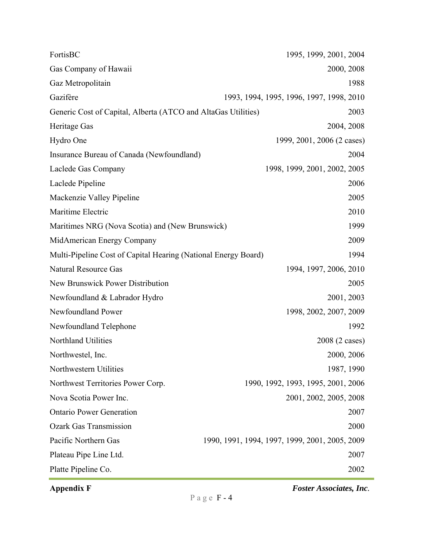| FortisBC                                                       | 1995, 1999, 2001, 2004                         |
|----------------------------------------------------------------|------------------------------------------------|
| Gas Company of Hawaii                                          | 2000, 2008                                     |
| Gaz Metropolitain                                              | 1988                                           |
| Gazifère                                                       | 1993, 1994, 1995, 1996, 1997, 1998, 2010       |
| Generic Cost of Capital, Alberta (ATCO and AltaGas Utilities)  | 2003                                           |
| Heritage Gas                                                   | 2004, 2008                                     |
| Hydro One                                                      | 1999, 2001, 2006 (2 cases)                     |
| Insurance Bureau of Canada (Newfoundland)                      | 2004                                           |
| Laclede Gas Company                                            | 1998, 1999, 2001, 2002, 2005                   |
| Laclede Pipeline                                               | 2006                                           |
| Mackenzie Valley Pipeline                                      | 2005                                           |
| Maritime Electric                                              | 2010                                           |
| Maritimes NRG (Nova Scotia) and (New Brunswick)                | 1999                                           |
| MidAmerican Energy Company                                     | 2009                                           |
| Multi-Pipeline Cost of Capital Hearing (National Energy Board) | 1994                                           |
| <b>Natural Resource Gas</b>                                    | 1994, 1997, 2006, 2010                         |
| New Brunswick Power Distribution                               | 2005                                           |
| Newfoundland & Labrador Hydro                                  | 2001, 2003                                     |
| Newfoundland Power                                             | 1998, 2002, 2007, 2009                         |
| Newfoundland Telephone                                         | 1992                                           |
| Northland Utilities                                            | 2008 (2 cases)                                 |
| Northwestel, Inc.                                              | 2000, 2006                                     |
| Northwestern Utilities                                         | 1987, 1990                                     |
| Northwest Territories Power Corp.                              | 1990, 1992, 1993, 1995, 2001, 2006             |
| Nova Scotia Power Inc.                                         | 2001, 2002, 2005, 2008                         |
| <b>Ontario Power Generation</b>                                | 2007                                           |
| <b>Ozark Gas Transmission</b>                                  | 2000                                           |
| Pacific Northern Gas                                           | 1990, 1991, 1994, 1997, 1999, 2001, 2005, 2009 |
| Plateau Pipe Line Ltd.                                         | 2007                                           |
| Platte Pipeline Co.                                            | 2002                                           |

Appendix F<br>*Foster Associates, Inc.*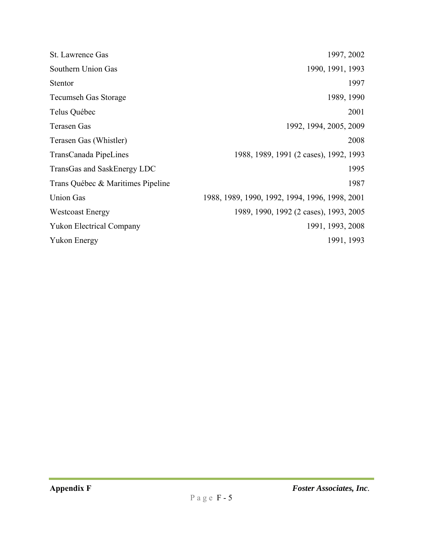| <b>St.</b> Lawrence Gas           | 1997, 2002                                     |
|-----------------------------------|------------------------------------------------|
| Southern Union Gas                | 1990, 1991, 1993                               |
| <b>Stentor</b>                    | 1997                                           |
| <b>Tecumseh Gas Storage</b>       | 1989, 1990                                     |
| Telus Québec                      | 2001                                           |
| Terasen Gas                       | 1992, 1994, 2005, 2009                         |
| Terasen Gas (Whistler)            | 2008                                           |
| TransCanada PipeLines             | 1988, 1989, 1991 (2 cases), 1992, 1993         |
| TransGas and SaskEnergy LDC       | 1995                                           |
| Trans Québec & Maritimes Pipeline | 1987                                           |
| <b>Union Gas</b>                  | 1988, 1989, 1990, 1992, 1994, 1996, 1998, 2001 |
| <b>Westcoast Energy</b>           | 1989, 1990, 1992 (2 cases), 1993, 2005         |
| <b>Yukon Electrical Company</b>   | 1991, 1993, 2008                               |
| <b>Yukon Energy</b>               | 1991, 1993                                     |
|                                   |                                                |